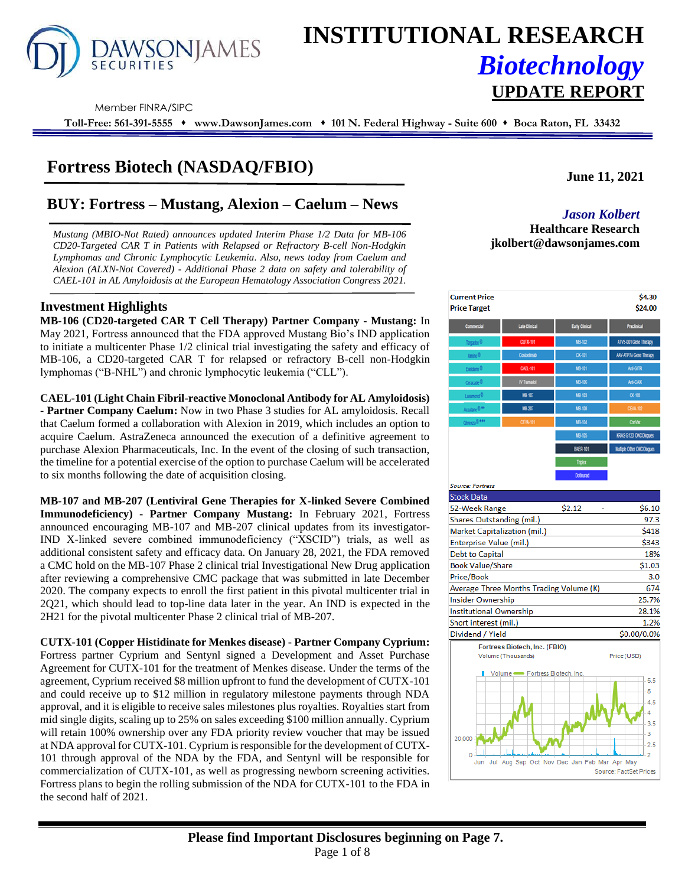

# **INSTITUTIONAL RESEARCH** *Biotechnology* **UPDATE REPORT**

Member FINRA/SIPC

**Toll-Free: 561-391-5555** ⬧ **www.DawsonJames.com** ⬧ **101 N. Federal Highway - Suite 600** ⬧ **Boca Raton, FL 33432**

# **Fortress Biotech (NASDAQ/FBIO)**

# **BUY: Fortress – Mustang, Alexion – Caelum – News** *Jason Kolbert*

*Mustang (MBIO-Not Rated) announces updated Interim Phase 1/2 Data for MB-106 CD20-Targeted CAR T in Patients with Relapsed or Refractory B-cell Non-Hodgkin Lymphomas and Chronic Lymphocytic Leukemia. Also, news today from Caelum and Alexion (ALXN-Not Covered) - Additional Phase 2 data on safety and tolerability of CAEL-101 in AL Amyloidosis at the European Hematology Association Congress 2021.* 

### **Investment Highlights**

**MB-106 (CD20-targeted CAR T Cell Therapy) Partner Company - Mustang:** In May 2021, Fortress announced that the FDA approved Mustang Bio's IND application to initiate a multicenter Phase 1/2 clinical trial investigating the safety and efficacy of MB-106, a CD20-targeted CAR T for relapsed or refractory B-cell non-Hodgkin lymphomas ("B-NHL") and chronic lymphocytic leukemia ("CLL").

**CAEL-101 (Light Chain Fibril-reactive Monoclonal Antibody for AL Amyloidosis) - Partner Company Caelum:** Now in two Phase 3 studies for AL amyloidosis. Recall that Caelum formed a collaboration with Alexion in 2019, which includes an option to acquire Caelum. AstraZeneca announced the execution of a definitive agreement to purchase Alexion Pharmaceuticals, Inc. In the event of the closing of such transaction, the timeline for a potential exercise of the option to purchase Caelum will be accelerated to six months following the date of acquisition closing.

**MB-107 and MB-207 (Lentiviral Gene Therapies for X-linked Severe Combined Immunodeficiency) - Partner Company Mustang:** In February 2021, Fortress announced encouraging MB-107 and MB-207 clinical updates from its investigator-IND X-linked severe combined immunodeficiency ("XSCID") trials, as well as additional consistent safety and efficacy data. On January 28, 2021, the FDA removed a CMC hold on the MB-107 Phase 2 clinical trial Investigational New Drug application after reviewing a comprehensive CMC package that was submitted in late December 2020. The company expects to enroll the first patient in this pivotal multicenter trial in 2Q21, which should lead to top-line data later in the year. An IND is expected in the 2H21 for the pivotal multicenter Phase 2 clinical trial of MB-207.

**CUTX-101 (Copper Histidinate for Menkes disease) - Partner Company Cyprium:** 

Fortress partner Cyprium and Sentynl signed a Development and Asset Purchase Agreement for CUTX-101 for the treatment of Menkes disease. Under the terms of the agreement, Cyprium received \$8 million upfront to fund the development of CUTX-101 and could receive up to \$12 million in regulatory milestone payments through NDA approval, and it is eligible to receive sales milestones plus royalties. Royalties start from mid single digits, scaling up to 25% on sales exceeding \$100 million annually. Cyprium will retain 100% ownership over any FDA priority review voucher that may be issued at NDA approval for CUTX-101. Cyprium is responsible for the development of CUTX-101 through approval of the NDA by the FDA, and Sentynl will be responsible for commercialization of CUTX-101, as well as progressing newborn screening activities. Fortress plans to begin the rolling submission of the NDA for CUTX-101 to the FDA in the second half of 2021.

**June 11, 2021**

# **Healthcare Research jkolbert@dawsonjames.com**



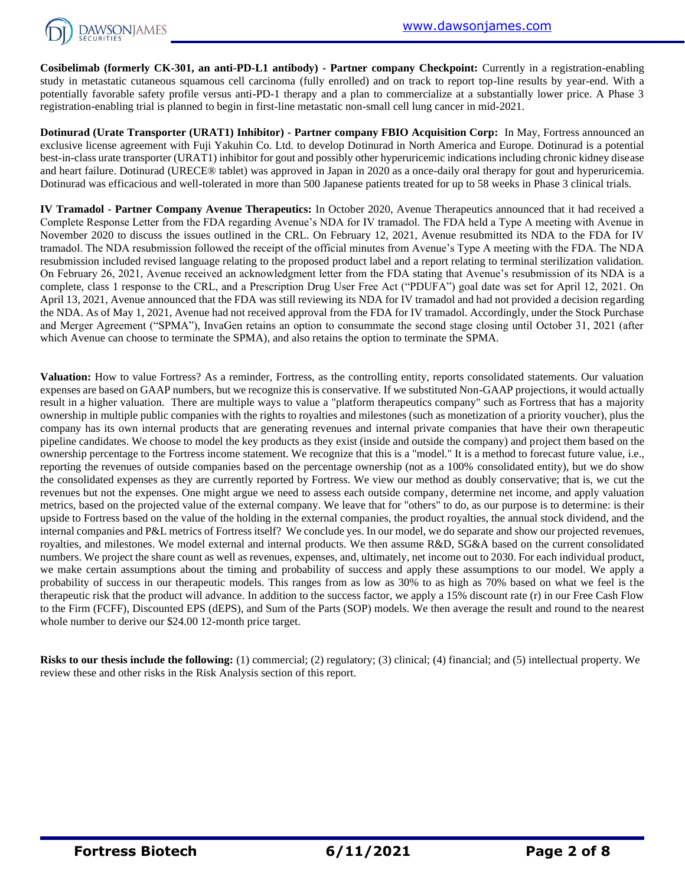

**Cosibelimab (formerly CK-301, an anti-PD-L1 antibody) - Partner company Checkpoint:** Currently in a registration-enabling study in metastatic cutaneous squamous cell carcinoma (fully enrolled) and on track to report top-line results by year-end. With a potentially favorable safety profile versus anti-PD-1 therapy and a plan to commercialize at a substantially lower price. A Phase 3 registration-enabling trial is planned to begin in first-line metastatic non-small cell lung cancer in mid-2021.

**Dotinurad (Urate Transporter (URAT1) Inhibitor) - Partner company FBIO Acquisition Corp:** In May, Fortress announced an exclusive license agreement with Fuji Yakuhin Co. Ltd. to develop Dotinurad in North America and Europe. Dotinurad is a potential best-in-class urate transporter (URAT1) inhibitor for gout and possibly other hyperuricemic indications including chronic kidney disease and heart failure. Dotinurad (URECE® tablet) was approved in Japan in 2020 as a once-daily oral therapy for gout and hyperuricemia. Dotinurad was efficacious and well-tolerated in more than 500 Japanese patients treated for up to 58 weeks in Phase 3 clinical trials.

**IV Tramadol - Partner Company Avenue Therapeutics:** In October 2020, Avenue Therapeutics announced that it had received a Complete Response Letter from the FDA regarding Avenue's NDA for IV tramadol. The FDA held a Type A meeting with Avenue in November 2020 to discuss the issues outlined in the CRL. On February 12, 2021, Avenue resubmitted its NDA to the FDA for IV tramadol. The NDA resubmission followed the receipt of the official minutes from Avenue's Type A meeting with the FDA. The NDA resubmission included revised language relating to the proposed product label and a report relating to terminal sterilization validation. On February 26, 2021, Avenue received an acknowledgment letter from the FDA stating that Avenue's resubmission of its NDA is a complete, class 1 response to the CRL, and a Prescription Drug User Free Act ("PDUFA") goal date was set for April 12, 2021. On April 13, 2021, Avenue announced that the FDA was still reviewing its NDA for IV tramadol and had not provided a decision regarding the NDA. As of May 1, 2021, Avenue had not received approval from the FDA for IV tramadol. Accordingly, under the Stock Purchase and Merger Agreement ("SPMA"), InvaGen retains an option to consummate the second stage closing until October 31, 2021 (after which Avenue can choose to terminate the SPMA), and also retains the option to terminate the SPMA.

**Valuation:** How to value Fortress? As a reminder, Fortress, as the controlling entity, reports consolidated statements. Our valuation expenses are based on GAAP numbers, but we recognize this is conservative. If we substituted Non-GAAP projections, it would actually result in a higher valuation. There are multiple ways to value a "platform therapeutics company" such as Fortress that has a majority ownership in multiple public companies with the rights to royalties and milestones (such as monetization of a priority voucher), plus the company has its own internal products that are generating revenues and internal private companies that have their own therapeutic pipeline candidates. We choose to model the key products as they exist (inside and outside the company) and project them based on the ownership percentage to the Fortress income statement. We recognize that this is a "model." It is a method to forecast future value, i.e., reporting the revenues of outside companies based on the percentage ownership (not as a 100% consolidated entity), but we do show the consolidated expenses as they are currently reported by Fortress. We view our method as doubly conservative; that is, we cut the revenues but not the expenses. One might argue we need to assess each outside company, determine net income, and apply valuation metrics, based on the projected value of the external company. We leave that for "others" to do, as our purpose is to determine: is their upside to Fortress based on the value of the holding in the external companies, the product royalties, the annual stock dividend, and the internal companies and P&L metrics of Fortress itself? We conclude yes. In our model, we do separate and show our projected revenues, royalties, and milestones. We model external and internal products. We then assume R&D, SG&A based on the current consolidated numbers. We project the share count as well as revenues, expenses, and, ultimately, net income out to 2030. For each individual product, we make certain assumptions about the timing and probability of success and apply these assumptions to our model. We apply a probability of success in our therapeutic models. This ranges from as low as 30% to as high as 70% based on what we feel is the therapeutic risk that the product will advance. In addition to the success factor, we apply a 15% discount rate (r) in our Free Cash Flow to the Firm (FCFF), Discounted EPS (dEPS), and Sum of the Parts (SOP) models. We then average the result and round to the nearest whole number to derive our \$24.00 12-month price target.

**Risks to our thesis include the following:** (1) commercial; (2) regulatory; (3) clinical; (4) financial; and (5) intellectual property. We review these and other risks in the Risk Analysis section of this report.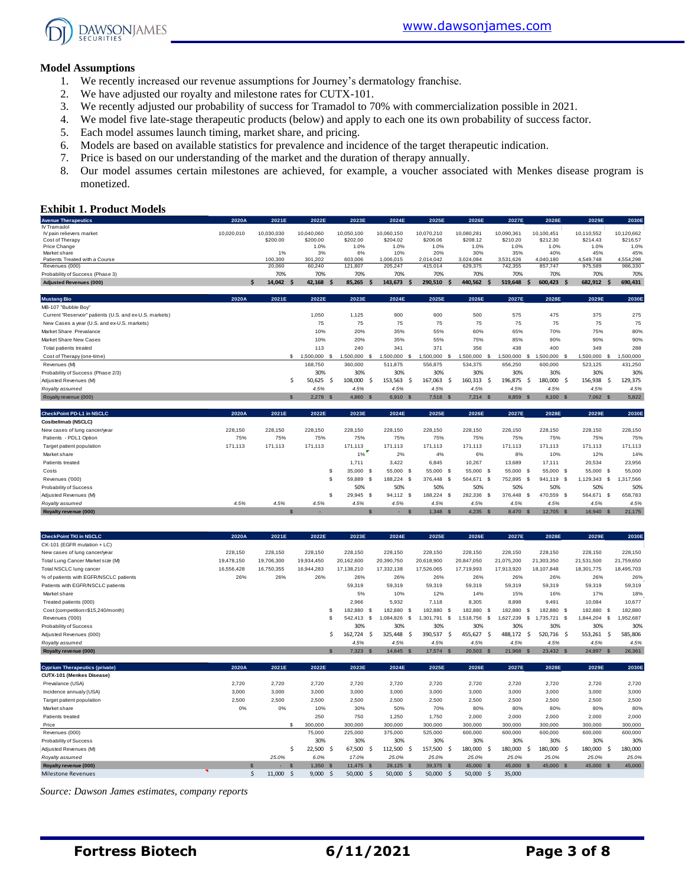

#### **Model Assumptions**

- 1. We recently increased our revenue assumptions for Journey's dermatology franchise.
- 2. We have adjusted our royalty and milestone rates for CUTX-101.
- 3. We recently adjusted our probability of success for Tramadol to 70% with commercialization possible in 2021.
- 4. We model five late-stage therapeutic products (below) and apply to each one its own probability of success factor.
- 5. Each model assumes launch timing, market share, and pricing.
- 6. Models are based on available statistics for prevalence and incidence of the target therapeutic indication.
- 7. Price is based on our understanding of the market and the duration of therapy annually.
- 8. Our model assumes certain milestones are achieved, for example, a voucher associated with Menkes disease program is monetized.

#### **Exhibit 1. Product Models**

| <b>Avenue Therapeutics</b>                              | 2020A      | 2021E              | 2022E           | 2023E      | 2024E       | 2025E             | 2026E             | 2027E           | 2028E              | 2029E        | 2030E         |
|---------------------------------------------------------|------------|--------------------|-----------------|------------|-------------|-------------------|-------------------|-----------------|--------------------|--------------|---------------|
| IV Tramadol                                             |            |                    |                 |            |             |                   |                   |                 |                    |              |               |
| IV pain relievers market                                | 10,020,010 | 10.030.030         | 10.040.060      | 10.050.100 | 10,060,150  | 10,070,210        | 10,080,281        | 10.090.361      | 10.100.451         | 10.110.552   | 10.120.662    |
| Cost of Therapy                                         |            | \$200.00           | \$200.00        | \$202.00   | \$204.02    | \$206.06          | \$208.12          | \$210.20        | \$212.30           | \$214.43     | \$216.57      |
| Price Change<br>Market share                            |            | 1%                 | 1.0%<br>3%      | 1.0%<br>6% | 1.0%<br>10% | 1.0%<br>20%       | 1.0%<br>30%       | 1.0%<br>35%     | 1.0%<br>40%        | 1.0%<br>45%  | 1.0%<br>45%   |
| Patients Treated with a Course                          |            | 100,300            | 301,202         | 603,006    | 1,006,015   | 2,014,042         | 3,024,084         | 3,531,626       | 4,040,180          | 4,549,748    | 4,554,298     |
| Revenues (000)                                          |            | 20,060             | 60,240          | 121,807    | 205,247     | 415,014           | 629,375           | 742,355         | 857,747            | 975,589      | 986,330       |
| Probability of Success (Phase 3)                        |            | 70%                | 70%             | 70%        | 70%         | 70%               | 70%               | 70%             | 70%                | 70%          | 70%           |
| <b>Adjusted Revenues (000)</b>                          | \$         | 14,042<br><b>S</b> | 42,168          | 85,265     | 143,673     | 290,510<br>-S     | 440,562<br>- S    | 519,648         | 600,423 \$<br>-S   | 682,912 \$   | 690,431       |
|                                                         |            |                    |                 |            |             |                   |                   |                 |                    |              |               |
| <b>Mustang Bio</b>                                      | 2020A      | 2021E              | 2022E           | 2023E      | 2024E       | 2025E             | 2026E             | 2027E           | 2028E              | 2029E        | 2030E         |
| MB-107 "Bubble Boy"                                     |            |                    |                 |            |             |                   |                   |                 |                    |              |               |
| Current "Reservoir" patients (U.S. and ex-U.S. markets) |            |                    | 1,050           | 1,125      | 900         | 600               | 500               | 575             | 475                | 375          | 275           |
| New Cases a year (U.S. and ex-U.S. markets)             |            |                    | 75              | 75         | 75          | 75                | 75                | 75              | 75                 | 75           | 75            |
| Market Share Prevalance                                 |            |                    | 10%             | 20%        | 35%         | 55%               | 60%               | 65%             | 70%                | 75%          | 80%           |
| Market Share New Cases                                  |            |                    | 10%             | 20%        | 35%         | 55%               | 75%               | 85%             | 90%                | 90%          | 90%           |
| Total patients treated                                  |            |                    | 113             | 240        | 341         | 371               | 356               | 438             | 400                | 349          | 288           |
| Cost of Therapy (one-time)                              |            |                    | 1,500,000<br>s. | 1.500.000  | 1,500,000   | 1,500,000<br>- \$ | 1,500,000         | 1,500,000<br>£. | 1,500,000 \$<br>-S | 1,500,000 \$ | 1,500,000     |
| Revenues (M)                                            |            |                    | 168,750         | 360,000    | 511.875     | 556,875           | 534,375           | 656,250         | 600,000            | 523,125      | 431,250       |
| Probability of Success (Phase 2/3)                      |            |                    | 30%             | 30%        | 30%         | 30%               | 30%               | 30%             | 30%                | 30%          | 30%           |
| Adjusted Revenues (M)                                   |            | .S                 | 50,625<br>-Ś    | 108,000    | 153,563     | 167,063<br>-Ś     | 160,313 \$<br>- Ś | 196,875         | 180,000 \$<br>-Ś   | 156,938      | 129,375<br>-Ŝ |
| Royalty assumed                                         |            |                    | 4.5%            | 4.5%       | 4.5%        | 4.5%              | 4.5%              | 4.5%            | 4.5%               | 4.5%         | 4.5%          |
| Royalty revenue (000)                                   |            | $\mathbf{s}$       | $2,278$ \$      | 4.860 S    | 6.910 S     | $7.518$ \$        | $7,214$ \$        | 8,859 \$        | 8,100 \$           | 7,062 \$     | 5,822         |
|                                                         |            |                    |                 |            |             |                   |                   |                 |                    |              |               |
| <b>CheckPoint PD-L1 in NSCLC</b>                        | 2020A      | 2021E              | 2022E           | 2023E      | 2024E       | 2025E             | 2026E             | 2027E           | 2028E              | 2029E        | 2030E         |
| Cosibelimab (NSCLC)                                     |            |                    |                 |            |             |                   |                   |                 |                    |              |               |
| New cases of lung cancer/year                           | 228,150    | 228,150            | 228,150         | 228,150    | 228,150     | 228,150           | 228,150           | 228,150         | 228,150            | 228,150      | 228,150       |
| Patients - PDL1 Option                                  | 75%        | 75%                | 75%             | 75%        | 75%         | 75%               | 75%               | 75%             | 75%                | 75%          | 75%           |
| Target patient population                               | 171,113    | 171,113            | 171,113         | 171,113    | 171,113     | 171,113           | 171,113           | 171,113         | 171,113            | 171,113      | 171,113       |
| Market share                                            |            |                    |                 | 1%         | 2%          | 4%                | 6%                | 8%              | 10%                | 12%          | 14%           |
| Patients treated                                        |            |                    |                 | 1,711      | 3.422       | 6,845             | 10,267            | 13,689          | 17.111             | 20,534       | 23,956        |
| Costs                                                   |            |                    | £.              | 35,000 \$  | 55,000 \$   | 55,000<br>- \$    | 55,000 \$         | 55,000          | 55,000 \$<br>- \$  | 55,000 \$    | 55,000        |

| Costs                  |      |      |      | 35,000 | 55,000 \$  | 55,000          | 55,000<br>- \$  | 55,000  | 55,000 \$  | 55,000 \$ | 55,000   |
|------------------------|------|------|------|--------|------------|-----------------|-----------------|---------|------------|-----------|----------|
| Revenues ('000)        |      |      |      | 59.889 | 188,224 \$ | 376,448<br>- 53 | 564.671<br>- \$ | 752.895 | 941.119 \$ | .129.343  | .317.566 |
| Probability of Success |      |      |      | 50%    | 50%        | 50%             | 50%             | 50%     | 50%        | 50%       | 50%      |
| Adjusted Revenues (M)  |      |      |      | 29.945 | 94.112 S   | 188,224 \$      | 282.336<br>- 26 | 376,448 | 470.559 \$ | 564,671   | 658,783  |
| Royalty assumed        | 4.5% | 4.5% | 4.5% | 4.5%   | 4.5%       | 4.5%            | 4.5%            | 4.5%    | 4.5%       | 4.5%      | 4.5%     |
| Royalty revenue (000)  |      |      |      |        |            | 1.348           | 4,235           | 8,470   | 12.705     | 16,940    | 21,175   |

| <b>CheckPoint TKI in NSCLC</b>         | 2020A      | 2021E      | 2022E      | 2023E      |      | 2024E      | 2025E      |     | 2026E       |    | 2027E      |          | 2028E      |            | 2029E      |          | 2030E      |
|----------------------------------------|------------|------------|------------|------------|------|------------|------------|-----|-------------|----|------------|----------|------------|------------|------------|----------|------------|
| CK-101 (EGFR mutation + LC)            |            |            |            |            |      |            |            |     |             |    |            |          |            |            |            |          |            |
| New cases of lung cancer/year          | 228,150    | 228,150    | 228,150    | 228,150    |      | 228,150    | 228,150    |     | 228,150     |    | 228,150    |          | 228,150    | 228,150    |            |          | 228,150    |
| Total Lung Cancer Market size (M)      | 19,478,150 | 19,706,300 | 19,934,450 | 20,162,600 |      | 20,390,750 | 20,618,900 |     | 20,847,050  |    | 21,075,200 |          | 21,303,350 | 21,531,500 |            |          | 21,759,650 |
| Total NSCLC lung cancer                | 16,556,428 | 16,750,355 | 16,944,283 | 17,138,210 |      | 17,332,138 | 17,526,065 |     | 17,719,993  |    | 17,913,920 |          | 18,107,848 | 18,301,775 |            |          | 18,495,703 |
| % of patients with EGFR/NSCLC patients | 26%        | 26%        | 26%        | 26%        |      | 26%        | 26%        |     | 26%         |    | 26%        |          | 26%        |            | 26%        |          | 26%        |
| Patients with EGFR/NSCLC patients      |            |            |            | 59,319     |      | 59,319     | 59,319     |     | 59,319      |    | 59,319     |          | 59,319     |            | 59,319     |          | 59,319     |
| Market share                           |            |            |            | 5%         |      | 10%        | 12%        |     | 14%         |    | 15%        |          | 16%        |            | 17%        |          | 18%        |
| Treated patients (000)                 |            |            |            | 2,966      |      | 5,932      | 7,118      |     | 8,305       |    | 8,898      |          | 9,491      |            | 10,084     |          | 10,677     |
| Cost (competition=\$15,240/month)      |            |            |            | 182,880 \$ |      | 182.880 \$ | 182,880 \$ |     | 182,880 \$  |    | 182,880    | - \$     | 182,880 \$ |            | 182,880 \$ |          | 182,880    |
| Revenues ('000)                        |            |            |            | 542.413    | - \$ | .084.826   | .301.791   | \$. | 1.518.756   | -5 | .627.239   | - \$     | 735.721 \$ | 1.844.204  |            | -S       | .952,687   |
| Probability of Success                 |            |            |            | 30%        |      | 30%        | 30%        |     | 30%         |    | 30%        |          | 30%        |            | 30%        |          | 30%        |
| Adjusted Revenues (000)                |            |            |            | 162.724 \$ |      | 325.448 \$ | 390,537    | - Ś | 455,627     | -S | 488,172    | -S       | 520.716 \$ | 553,261    |            | -S       | 585,806    |
| Royalty assumed                        |            |            |            | 4.5%       |      | 4.5%       | 4.5%       |     | 4.5%        |    | 4.5%       |          | 4.5%       |            | 4.5%       |          | 4.5%       |
| Royalty revenue (000)                  |            |            |            | $7,323$ \$ |      | 14,645 \$  | 17,574 \$  |     | $20,503$ \$ |    | 21,968     | <b>S</b> | 23,432 \$  |            | 24,897     | <b>S</b> | 26,361     |
|                                        |            |            |            |            |      |            |            |     |             |    |            |          |            |            |            |          |            |

| <b>Cyprium Therapeutics (private)</b> | 2020A | 2021E  | 2022E      | 2023E         | 2024E          | 2025E          | 2026E          | 2027E          | 2028E      | 2029E     | 2030E   |
|---------------------------------------|-------|--------|------------|---------------|----------------|----------------|----------------|----------------|------------|-----------|---------|
| CUTX-101 (Menkes Disease)             |       |        |            |               |                |                |                |                |            |           |         |
| Prevalance (USA)                      | 2,720 | 2,720  | 2,720      | 2,720         | 2,720          | 2,720          | 2,720          | 2,720          | 2,720      | 2,720     | 2,720   |
| Incidence annualy (USA)               | 3,000 | 3,000  | 3,000      | 3,000         | 3,000          | 3,000          | 3,000          | 3,000          | 3,000      | 3,000     | 3,000   |
| Target patient population             | 2,500 | 2,500  | 2,500      | 2,500         | 2,500          | 2,500          | 2,500          | 2,500          | 2,500      | 2,500     | 2,500   |
| Market share                          | 0%    | 0%     | 10%        | 30%           | 50%            | 70%            | 80%            | 80%            | 80%        | 80%       | 80%     |
| Patients treated                      |       |        | 250        | 750           | 1.250          | 1.750          | 2,000          | 2,000          | 2,000      | 2,000     | 2,000   |
| Price                                 |       | S.     | 300,000    | 300,000       | 300,000        | 300,000        | 300,000        | 300,000        | 300,000    | 300,000   | 300,000 |
| Revenues (000)                        |       |        | 75,000     | 225,000       | 375,000        | 525,000        | 600,000        | 600,000        | 600,000    | 600,000   | 600,000 |
| Probability of Success                |       |        | 30%        | 30%           | 30%            | 30%            | 30%            | 30%            | 30%        | 30%       | 30%     |
| Adjusted Revenues (M)                 |       |        | 22,500 \$  | 67,500<br>- S | 112,500<br>- S | 157,500<br>- S | 180,000<br>- S | 180,000<br>-S  | 180,000 \$ | 180,000   | 180,000 |
| Royalty assumed                       |       | 25.0%  | 6.0%       | 17.0%         | 25.0%          | 25.0%          | 25.0%          | 25.0%          | 25.0%      | 25.0%     | 25.0%   |
| Royalty revenue (000)                 |       | $\sim$ | $1,350$ \$ | 11.475 S      | 28.125 \$      | 39,375 \$      | 45,000 \$      | 45,000<br>- \$ | 45,000 \$  | 45,000 \$ | 45,000  |
| <b>Milestone Revenues</b>             |       | 11,000 | 9,000      | 50,000        | 50,000         | 50,000         | 50,000         | 35,000         |            |           |         |

*Source: Dawson James estimates, company reports*

**Fortress Biotech 6/11/2021 Page 3 of 8**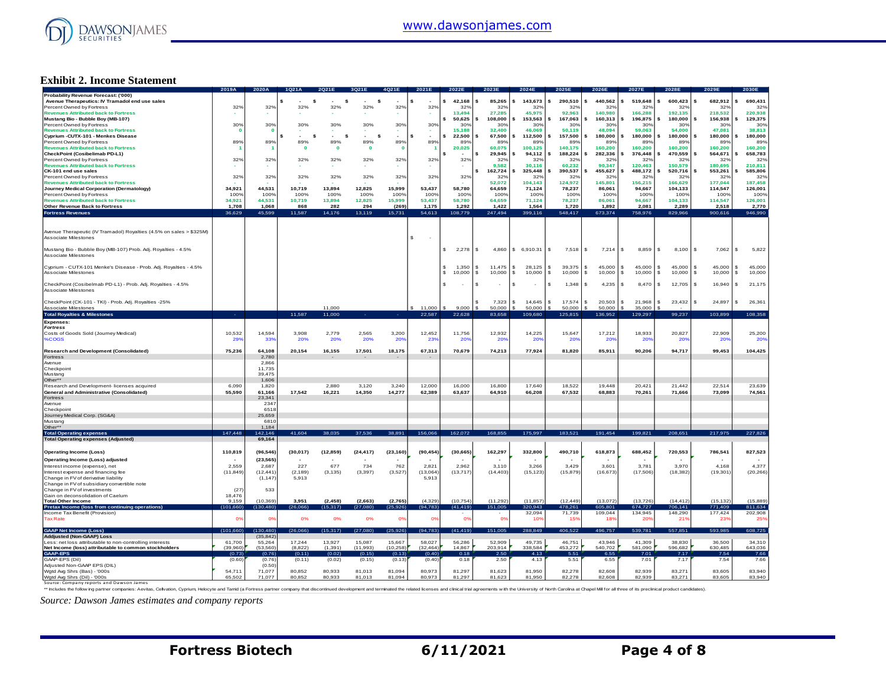

#### **Exhibit 2. Income Statement**

| 42,168<br>85.265<br>143,673<br>290,510<br>440.562<br>519,648<br>600,423<br>682,912<br>690,431<br>Avenue Therapeutics: IV Tramadol end use sales<br>\$.<br>s<br>\$<br>- 5<br>32%<br>Percent Owned by Fortress<br>32%<br>32%<br>32%<br>32%<br>32%<br>32%<br>32%<br>32%<br>32 <sup>6</sup><br>32'<br>32 <sup>6</sup><br>32 <sup>6</sup><br>$32^{\circ}$<br>32 <sup>6</sup><br>$32^{\circ}$<br>166,288<br>192,135<br>218,532<br>220,938<br><b>Revenues Attributed back to Fortress</b><br>13.494<br>27,285<br>45,975<br>92.963<br>140.980<br>Mustang Bio - Bubble Boy (MB-107)<br>50,625<br>108,000<br>153,563<br>167,063<br>160,313<br>196,875<br>180,000<br>156,938<br>129,375<br>\$.<br>30%<br>30%<br>Percent Owned by Fortress<br>30%<br>30%<br>30%<br>30%<br>30%<br>30%<br>30%<br>30%<br>30 <sup>o</sup><br>30%<br>30 <sup>°</sup><br>30%<br>30%<br>30%<br><b>Revenues Attributed back to Fortress</b><br>$\overline{0}$<br>15.188<br>32,400<br>46.069<br>50.119<br>48.094<br>59,063<br>54,000<br>47.081<br>38,813<br>- 0<br>s<br>-\$<br>$\sim$<br>\$<br>s.<br>¢<br>$\sim$<br>22,500<br>67.500<br>112,500<br>157,500<br>180,000<br>180,000<br>180,000<br>¢<br>180,000<br>180,000<br>i.<br>$\hat{\mathbf{z}}$<br>Percent Owned by Fortress<br>89%<br>89%<br>89%<br>89%<br>89%<br>89%<br>89%<br>89%<br>89%<br>89%<br>89%<br>899<br>89%<br>899<br>89°<br>89%<br><b>Revenues Attributed back to Fortress</b><br>$\mathbf 0$<br>20,025<br>60.075<br>100,125<br>140,175<br>160,200<br>160,200<br>160,200<br>160,200<br>160,200<br>$\mathbf{0}$<br>$\mathbf{0}$<br>$\mathbf 0$<br>188,224<br>282,336<br>376,448<br>470,559<br>564,671<br>658,783<br>29.945<br>94.112<br>- \$<br>32%<br>32%<br>32%<br>32%<br>32%<br>32%<br>32%<br>32%<br>32%<br>32 <sub>9</sub><br>32%<br>32%<br>32%<br>32%<br>$32^\circ$<br>32 <sup>o</sup><br>90.347<br>150.579<br>180.695<br>210.811<br>9.582<br>30.116<br>60.232<br>120.463<br>162,724<br>325,448<br>390,537<br>455,627<br>488,172<br>520,716<br>553,261<br>585,806<br>s<br>32%<br>32%<br>32%<br>32%<br>32%<br>32%<br>32%<br>32%<br>32%<br>32 <sup>o</sup><br>32%<br>32%<br>32%<br>32%<br>32%<br>32%<br><b>Revenues Attributed back to Fortress</b><br>52,072<br>104,143<br>124,972<br>145,801<br>156,215<br>166,629<br>177,044<br>187,458<br>34.921<br>44.531<br>10.719<br>13.894<br>12.825<br>15,999<br>53.437<br>58.780<br>71,124<br>94.667<br>114,547<br>126,001<br>64.659<br>78.237<br>86.061<br>104.133<br>Percent Owned by Fortress<br>100%<br>100%<br>100%<br>100%<br>100%<br>100%<br>100%<br>100%<br>100%<br>100%<br>100%<br>100%<br>100%<br>100%<br>100%<br>100%<br>10,719<br>15,999<br>53,437<br>58,780<br>94.667<br>114,547<br>126,001<br><b>Revenues Attributed back to Fortress</b><br>34.921<br>44.531<br>13,894<br>12,825<br>64.659<br>71,124<br>78,237<br>86.061<br>104,133<br>Other Revenue Back to Fortress<br>1,708<br>1,068<br>868<br>282<br>294<br>(269)<br>1,175<br>1,292<br>1,422<br>1,564<br>1,720<br>1,892<br>2,081<br>2,289<br>2,518<br>2,770<br><b>Fortress Revenues</b><br>36,629<br>45,599<br>11,587<br>14,176<br>13,119<br>15,731<br>54,613<br>108,779<br>247,494<br>399,116<br>548,417<br>673,374<br>758,976<br>829,966<br>900,616<br>946,990<br>Avenue Therapeutic (IV Tramadol) Royalties (4.5% on sales > \$325M)<br>\$<br>Associate Milestones<br>Mustang Bio - Bubble Boy (MB-107) Prob. Adj. Royalties - 4.5%<br>2.278<br>\$ 6.910.31<br>8,859<br>7.062<br>5,822<br>-S<br>4.860<br>S.<br>7,518<br>7,214<br>s<br>8,100<br>s<br>- \$<br>IS.<br>s<br>Associate Milestones<br>Cyprium - CUTX-101 Menke's Disease - Prob. Adj. Royalties - 4.5%<br>1,350<br>39,375<br>45,000<br>45,000<br>s<br>11.475<br>28.125<br>l \$<br>45,000<br>s<br><sub>S</sub><br>S.<br>45,000<br>$\mathbf{s}$<br>45,000<br>s.<br>10,000<br>-S<br>10,000<br>10,000<br>S.<br>10,000<br>10,000<br>s<br>10,000<br>10,000<br>s<br>10,000<br><b>S</b><br>10,000<br>s.<br>IS.<br>s<br>CheckPoint (Cosibelmab PD-L1) - Prob. Adj. Royalties - 4.5%<br>4,235<br>1,348<br>8,470<br>12,705<br>16,940<br>21,175<br>£.<br>$\sim$<br>s.<br>-S<br>s.<br>$\mathcal{S}$<br>17,574<br>7,323<br>14,645<br>20,503<br>s<br>21,968<br>s<br>23,432<br>\$.<br>24,897<br>$\mathfrak{S}$<br>26,361<br>Ś.<br>$\mathbf{S}$<br>$\mathbf{\hat{s}}$<br>9.000<br>11,000<br>11,000<br>50.000<br>50,000<br>50,000<br>50,000<br>35,000<br><b>Total Royalties &amp; Milestones</b><br>108,358<br>11,587<br>11,000<br>22,587<br>22,628<br>83,658<br>109,680<br>125,815<br>136,952<br>129,297<br>99,237<br>103,899<br><b>Expenses</b><br><b>Fortress</b><br>10,532<br>3,200<br>11,756<br>18,933<br>20,827<br>25,200<br>Costs of Goods Sold (Journey Medical)<br>14.594<br>3.908<br>2.779<br>2.565<br>12,452<br>12,932<br>14,225<br>15,647<br>17.212<br>22,909<br>%COGS<br>339<br>20%<br>29'<br>20%<br>20%<br>20 <sup>°</sup><br>23 <sup>6</sup><br>20%<br>20 <sup>o</sup><br>20%<br>20°<br>$20^{\circ}$<br>20 <sup>6</sup><br><b>20%</b><br>$20^{\circ}$<br>20%<br><b>Research and Development (Consolidated)</b><br>75,236<br>64,108<br>20,154<br>16,155<br>17,501<br>18,175<br>67,313<br>70,679<br>74,213<br>77,924<br>81,820<br>85,911<br>90,206<br>94,717<br>99,453<br>104,425<br>2,780<br>2,866<br>11,735<br>39,475<br>1,606<br>2,880<br>3,120<br>3,240<br>16,000<br>16,800<br>17,640<br>18,522<br>21,442<br>22,514<br>23,639<br>6,090<br>1.820<br>12,000<br>19.448<br>20.42<br>55,590<br>61,166<br>17.542<br>16,221<br>14,350<br>14,277<br>62,389<br>63,637<br>64,910<br>66,208<br>67,532<br>68,883<br>70,261<br>71,666<br>73,099<br>74,561<br>23.341<br>Avenue<br>234<br>651<br>25,659<br>6810<br>1,184<br>147.448<br>156,066<br>162,072<br>168,855<br>183,521<br>38,891<br>175,997<br>191,454<br>199,821<br>217,975<br>227,826<br>42.146<br>41.604<br>38.035<br>37,536<br>208.651<br>69.164<br>110,819<br>(96, 546)<br>(30, 017)<br>(12, 859)<br>(24, 417)<br>(23, 160)<br>(90, 454)<br>(30, 665)<br>162,297<br>332,800<br>490,710<br>618,873<br>688,452<br>720,553<br>786,541<br>827,523<br>(23, 565)<br>2,559<br>2,687<br>227<br>677<br>734<br>762<br>2,821<br>2,962<br>3,110<br>3,266<br>3,429<br>3,601<br>3,781<br>3,970<br>4,168<br>4,377<br>(11, 849)<br>(12.441)<br>(2.189)<br>(3, 135)<br>(3, 397)<br>(3, 527)<br>(13,064)<br>(13, 717)<br>(14, 403)<br>(15, 123)<br>(15, 879)<br>(16, 673)<br>(17,506)<br>(18, 382)<br>(19, 301)<br>(20, 266)<br>(1, 147)<br>5,913<br>5,913<br>Change in FV of subsidiary convertible note<br>Change in FV of investments<br>(27)<br>533<br>18,476<br>9,159<br>(10, 369)<br>3,951<br>(2, 458)<br>(2,663)<br>(2,765)<br>(4,329)<br>(10, 754)<br>(11, 292)<br>(11, 857)<br>(12, 449)<br>(13,072)<br>(13, 726)<br>(14, 412)<br>(15, 132)<br>(15,889)<br>811,634<br>(101, 660)<br>(130.480)<br>(26,066)<br>(25, 926)<br>(94, 783)<br>(41, 419)<br>151,005<br>320,943<br>478,261<br>605,801<br>674,727<br>706,141<br>(15.317)<br>(27.080)<br>771,409<br>32,094<br>71,739<br>109,044<br>134,945<br>148,290<br>177,424<br>202,908<br>0%<br>0%<br><b>Tax Rate</b><br>$\mathbf{O}^{\prime}$<br>O <sup>o</sup><br>0%<br>0%<br>0%<br>0%<br>O <sup>s</sup><br>10%<br>159<br>18%<br>20%<br>21%<br>239<br>259<br>406,522<br>496,757<br>(101, 660)<br>30,48<br>(15, 317)<br>(25, 926)<br>(94, 783)<br>(41, 419)<br>151,005<br>288.849<br>539,781<br>557,851<br>593,985<br>608,725<br>26,066<br>(27,080)<br>(35.842)<br>55,264<br>17,244<br>13,927<br>15,087<br>15,667<br>58,027<br>56,286<br>52,909<br>49,735<br>46,751<br>43,946<br>41,309<br>38,830<br>36,500<br>34,310<br>Less: net loss attributable to non-controlling interests<br>61.700<br>643,036<br>(53.560<br>(8.822)<br>(11.993)<br>(10, 258)<br>14.867<br>203.914<br>338.584<br>453,272<br>540,702<br>581,090<br>596.682<br>630.485<br>(39.960)<br>(1.391)<br>(32.464)<br>(0.76)<br>(0.11)<br>(0.02)<br>(0.15)<br>(0.13)<br>(0.40)<br>0.18<br>2.50<br>4.13<br>5.51<br>6.55<br>7.17<br>7.54<br>7.66<br>(0.73)<br>7.01<br>(0.02)<br>2.50<br>5.51<br>6.55<br>7.66<br>(0.60)<br>(0.76)<br>(0.11)<br>(0.15)<br>(0.13)<br>(0.40)<br>0.18<br>4.13<br>7.01<br>7.17<br>7.54<br>(0.50)<br>81,297<br>54.711<br>71.077<br>80.852<br>80.933<br>81.013<br>81.094<br>80.973<br>81.623<br>81.950<br>82.278<br>82.608<br>82.939<br>83.271<br>83,605<br>83,940<br>Wgtd Avg Shrs (Dil) - '000s<br>65.502<br>71.077<br>80,852<br>80,933<br>81,013<br>81.094<br>80.973<br>81,297<br>81,623<br>81,950<br>82.278<br>82,608<br>82.939<br>83,271<br>83,605<br>83,940 |                                                       | 2019A | 2020A |  |  |  |  |  | 20275 | <b>2028F</b> |  |
|---------------------------------------------------------------------------------------------------------------------------------------------------------------------------------------------------------------------------------------------------------------------------------------------------------------------------------------------------------------------------------------------------------------------------------------------------------------------------------------------------------------------------------------------------------------------------------------------------------------------------------------------------------------------------------------------------------------------------------------------------------------------------------------------------------------------------------------------------------------------------------------------------------------------------------------------------------------------------------------------------------------------------------------------------------------------------------------------------------------------------------------------------------------------------------------------------------------------------------------------------------------------------------------------------------------------------------------------------------------------------------------------------------------------------------------------------------------------------------------------------------------------------------------------------------------------------------------------------------------------------------------------------------------------------------------------------------------------------------------------------------------------------------------------------------------------------------------------------------------------------------------------------------------------------------------------------------------------------------------------------------------------------------------------------------------------------------------------------------------------------------------------------------------------------------------------------------------------------------------------------------------------------------------------------------------------------------------------------------------------------------------------------------------------------------------------------------------------------------------------------------------------------------------------------------------------------------------------------------------------------------------------------------------------------------------------------------------------------------------------------------------------------------------------------------------------------------------------------------------------------------------------------------------------------------------------------------------------------------------------------------------------------------------------------------------------------------------------------------------------------------------------------------------------------------------------------------------------------------------------------------------------------------------------------------------------------------------------------------------------------------------------------------------------------------------------------------------------------------------------------------------------------------------------------------------------------------------------------------------------------------------------------------------------------------------------------------------------------------------------------------------------------------------------------------------------------------------------------------------------------------------------------------------------------------------------------------------------------------------------------------------------------------------------------------------------------------------------------------------------------------------------------------------------------------------------------------------------------------------------------------------------------------------------------------------------------------------------------------------------------------------------------------------------------------------------------------------------------------------------------------------------------------------------------------------------------------------------------------------------------------------------------------------------------------------------------------------------------------------------------------------------------------------------------------------------------------------------------------------------------------------------------------------------------------------------------------------------------------------------------------------------------------------------------------------------------------------------------------------------------------------------------------------------------------------------------------------------------------------------------------------------------------------------------------------------------------------------------------------------------------------------------------------------------------------------------------------------------------------------------------------------------------------------------------------------------------------------------------------------------------------------------------------------------------------------------------------------------------------------------------------------------------------------------------------------------------------------------------------------------------------------------------------------------------------------------------------------------------------------------------------------------------------------------------------------------------------------------------------------------------------------------------------------------------------------------------------------------------------------------------------------------------------------------------------------------------------------------------------------------------------------------------------------------------------------------------------------------------------------------------------------------------------------------------------------------------------------------------------------------------------------------------------------------------------------------------------------------------------------------------------------------------------------------------------------------------------------------------------------------------------------------------------------------------------------------------------------------------------------------------------------------------------------------------------------------------------------------------------------------------------------------------------------------------------------------------------------------------------------------------------------------------------------------------------------------------------------------------------------------------------------------------------------------------------------------------------------------------------------------------------------------------------------------------------------------------------------------------------------------------------------------------------------------------------------------------------------------------------------------------------------------------------------------------------------------------------------------------------------------------------------------------------------------------------------------------------------------------------------------------------------------------------------------------------------------------------------------------------------------------------------------------------------------------------------------------------------------------------------------------------------------------------------------------------------------------------------------------------------------------------------------------------------------------------------|-------------------------------------------------------|-------|-------|--|--|--|--|--|-------|--------------|--|
|                                                                                                                                                                                                                                                                                                                                                                                                                                                                                                                                                                                                                                                                                                                                                                                                                                                                                                                                                                                                                                                                                                                                                                                                                                                                                                                                                                                                                                                                                                                                                                                                                                                                                                                                                                                                                                                                                                                                                                                                                                                                                                                                                                                                                                                                                                                                                                                                                                                                                                                                                                                                                                                                                                                                                                                                                                                                                                                                                                                                                                                                                                                                                                                                                                                                                                                                                                                                                                                                                                                                                                                                                                                                                                                                                                                                                                                                                                                                                                                                                                                                                                                                                                                                                                                                                                                                                                                                                                                                                                                                                                                                                                                                                                                                                                                                                                                                                                                                                                                                                                                                                                                                                                                                                                                                                                                                                                                                                                                                                                                                                                                                                                                                                                                                                                                                                                                                                                                                                                                                                                                                                                                                                                                                                                                                                                                                                                                                                                                                                                                                                                                                                                                                                                                                                                                                                                                                                                                                                                                                                                                                                                                                                                                                                                                                                                                                                                                                                                                                                                                                                                                                                                                                                                                                                                                                                                                                                                                                                                                                                                                                                                                                                                                                                                                                                                                                                                                                                                             | Probability Revenue Forecast: ('000)                  |       |       |  |  |  |  |  |       |              |  |
|                                                                                                                                                                                                                                                                                                                                                                                                                                                                                                                                                                                                                                                                                                                                                                                                                                                                                                                                                                                                                                                                                                                                                                                                                                                                                                                                                                                                                                                                                                                                                                                                                                                                                                                                                                                                                                                                                                                                                                                                                                                                                                                                                                                                                                                                                                                                                                                                                                                                                                                                                                                                                                                                                                                                                                                                                                                                                                                                                                                                                                                                                                                                                                                                                                                                                                                                                                                                                                                                                                                                                                                                                                                                                                                                                                                                                                                                                                                                                                                                                                                                                                                                                                                                                                                                                                                                                                                                                                                                                                                                                                                                                                                                                                                                                                                                                                                                                                                                                                                                                                                                                                                                                                                                                                                                                                                                                                                                                                                                                                                                                                                                                                                                                                                                                                                                                                                                                                                                                                                                                                                                                                                                                                                                                                                                                                                                                                                                                                                                                                                                                                                                                                                                                                                                                                                                                                                                                                                                                                                                                                                                                                                                                                                                                                                                                                                                                                                                                                                                                                                                                                                                                                                                                                                                                                                                                                                                                                                                                                                                                                                                                                                                                                                                                                                                                                                                                                                                                                             |                                                       |       |       |  |  |  |  |  |       |              |  |
|                                                                                                                                                                                                                                                                                                                                                                                                                                                                                                                                                                                                                                                                                                                                                                                                                                                                                                                                                                                                                                                                                                                                                                                                                                                                                                                                                                                                                                                                                                                                                                                                                                                                                                                                                                                                                                                                                                                                                                                                                                                                                                                                                                                                                                                                                                                                                                                                                                                                                                                                                                                                                                                                                                                                                                                                                                                                                                                                                                                                                                                                                                                                                                                                                                                                                                                                                                                                                                                                                                                                                                                                                                                                                                                                                                                                                                                                                                                                                                                                                                                                                                                                                                                                                                                                                                                                                                                                                                                                                                                                                                                                                                                                                                                                                                                                                                                                                                                                                                                                                                                                                                                                                                                                                                                                                                                                                                                                                                                                                                                                                                                                                                                                                                                                                                                                                                                                                                                                                                                                                                                                                                                                                                                                                                                                                                                                                                                                                                                                                                                                                                                                                                                                                                                                                                                                                                                                                                                                                                                                                                                                                                                                                                                                                                                                                                                                                                                                                                                                                                                                                                                                                                                                                                                                                                                                                                                                                                                                                                                                                                                                                                                                                                                                                                                                                                                                                                                                                                             |                                                       |       |       |  |  |  |  |  |       |              |  |
|                                                                                                                                                                                                                                                                                                                                                                                                                                                                                                                                                                                                                                                                                                                                                                                                                                                                                                                                                                                                                                                                                                                                                                                                                                                                                                                                                                                                                                                                                                                                                                                                                                                                                                                                                                                                                                                                                                                                                                                                                                                                                                                                                                                                                                                                                                                                                                                                                                                                                                                                                                                                                                                                                                                                                                                                                                                                                                                                                                                                                                                                                                                                                                                                                                                                                                                                                                                                                                                                                                                                                                                                                                                                                                                                                                                                                                                                                                                                                                                                                                                                                                                                                                                                                                                                                                                                                                                                                                                                                                                                                                                                                                                                                                                                                                                                                                                                                                                                                                                                                                                                                                                                                                                                                                                                                                                                                                                                                                                                                                                                                                                                                                                                                                                                                                                                                                                                                                                                                                                                                                                                                                                                                                                                                                                                                                                                                                                                                                                                                                                                                                                                                                                                                                                                                                                                                                                                                                                                                                                                                                                                                                                                                                                                                                                                                                                                                                                                                                                                                                                                                                                                                                                                                                                                                                                                                                                                                                                                                                                                                                                                                                                                                                                                                                                                                                                                                                                                                                             |                                                       |       |       |  |  |  |  |  |       |              |  |
|                                                                                                                                                                                                                                                                                                                                                                                                                                                                                                                                                                                                                                                                                                                                                                                                                                                                                                                                                                                                                                                                                                                                                                                                                                                                                                                                                                                                                                                                                                                                                                                                                                                                                                                                                                                                                                                                                                                                                                                                                                                                                                                                                                                                                                                                                                                                                                                                                                                                                                                                                                                                                                                                                                                                                                                                                                                                                                                                                                                                                                                                                                                                                                                                                                                                                                                                                                                                                                                                                                                                                                                                                                                                                                                                                                                                                                                                                                                                                                                                                                                                                                                                                                                                                                                                                                                                                                                                                                                                                                                                                                                                                                                                                                                                                                                                                                                                                                                                                                                                                                                                                                                                                                                                                                                                                                                                                                                                                                                                                                                                                                                                                                                                                                                                                                                                                                                                                                                                                                                                                                                                                                                                                                                                                                                                                                                                                                                                                                                                                                                                                                                                                                                                                                                                                                                                                                                                                                                                                                                                                                                                                                                                                                                                                                                                                                                                                                                                                                                                                                                                                                                                                                                                                                                                                                                                                                                                                                                                                                                                                                                                                                                                                                                                                                                                                                                                                                                                                                             |                                                       |       |       |  |  |  |  |  |       |              |  |
|                                                                                                                                                                                                                                                                                                                                                                                                                                                                                                                                                                                                                                                                                                                                                                                                                                                                                                                                                                                                                                                                                                                                                                                                                                                                                                                                                                                                                                                                                                                                                                                                                                                                                                                                                                                                                                                                                                                                                                                                                                                                                                                                                                                                                                                                                                                                                                                                                                                                                                                                                                                                                                                                                                                                                                                                                                                                                                                                                                                                                                                                                                                                                                                                                                                                                                                                                                                                                                                                                                                                                                                                                                                                                                                                                                                                                                                                                                                                                                                                                                                                                                                                                                                                                                                                                                                                                                                                                                                                                                                                                                                                                                                                                                                                                                                                                                                                                                                                                                                                                                                                                                                                                                                                                                                                                                                                                                                                                                                                                                                                                                                                                                                                                                                                                                                                                                                                                                                                                                                                                                                                                                                                                                                                                                                                                                                                                                                                                                                                                                                                                                                                                                                                                                                                                                                                                                                                                                                                                                                                                                                                                                                                                                                                                                                                                                                                                                                                                                                                                                                                                                                                                                                                                                                                                                                                                                                                                                                                                                                                                                                                                                                                                                                                                                                                                                                                                                                                                                             |                                                       |       |       |  |  |  |  |  |       |              |  |
|                                                                                                                                                                                                                                                                                                                                                                                                                                                                                                                                                                                                                                                                                                                                                                                                                                                                                                                                                                                                                                                                                                                                                                                                                                                                                                                                                                                                                                                                                                                                                                                                                                                                                                                                                                                                                                                                                                                                                                                                                                                                                                                                                                                                                                                                                                                                                                                                                                                                                                                                                                                                                                                                                                                                                                                                                                                                                                                                                                                                                                                                                                                                                                                                                                                                                                                                                                                                                                                                                                                                                                                                                                                                                                                                                                                                                                                                                                                                                                                                                                                                                                                                                                                                                                                                                                                                                                                                                                                                                                                                                                                                                                                                                                                                                                                                                                                                                                                                                                                                                                                                                                                                                                                                                                                                                                                                                                                                                                                                                                                                                                                                                                                                                                                                                                                                                                                                                                                                                                                                                                                                                                                                                                                                                                                                                                                                                                                                                                                                                                                                                                                                                                                                                                                                                                                                                                                                                                                                                                                                                                                                                                                                                                                                                                                                                                                                                                                                                                                                                                                                                                                                                                                                                                                                                                                                                                                                                                                                                                                                                                                                                                                                                                                                                                                                                                                                                                                                                                             |                                                       |       |       |  |  |  |  |  |       |              |  |
|                                                                                                                                                                                                                                                                                                                                                                                                                                                                                                                                                                                                                                                                                                                                                                                                                                                                                                                                                                                                                                                                                                                                                                                                                                                                                                                                                                                                                                                                                                                                                                                                                                                                                                                                                                                                                                                                                                                                                                                                                                                                                                                                                                                                                                                                                                                                                                                                                                                                                                                                                                                                                                                                                                                                                                                                                                                                                                                                                                                                                                                                                                                                                                                                                                                                                                                                                                                                                                                                                                                                                                                                                                                                                                                                                                                                                                                                                                                                                                                                                                                                                                                                                                                                                                                                                                                                                                                                                                                                                                                                                                                                                                                                                                                                                                                                                                                                                                                                                                                                                                                                                                                                                                                                                                                                                                                                                                                                                                                                                                                                                                                                                                                                                                                                                                                                                                                                                                                                                                                                                                                                                                                                                                                                                                                                                                                                                                                                                                                                                                                                                                                                                                                                                                                                                                                                                                                                                                                                                                                                                                                                                                                                                                                                                                                                                                                                                                                                                                                                                                                                                                                                                                                                                                                                                                                                                                                                                                                                                                                                                                                                                                                                                                                                                                                                                                                                                                                                                                             | Cyprium -CUTX-101 - Menkes Disease                    |       |       |  |  |  |  |  |       |              |  |
|                                                                                                                                                                                                                                                                                                                                                                                                                                                                                                                                                                                                                                                                                                                                                                                                                                                                                                                                                                                                                                                                                                                                                                                                                                                                                                                                                                                                                                                                                                                                                                                                                                                                                                                                                                                                                                                                                                                                                                                                                                                                                                                                                                                                                                                                                                                                                                                                                                                                                                                                                                                                                                                                                                                                                                                                                                                                                                                                                                                                                                                                                                                                                                                                                                                                                                                                                                                                                                                                                                                                                                                                                                                                                                                                                                                                                                                                                                                                                                                                                                                                                                                                                                                                                                                                                                                                                                                                                                                                                                                                                                                                                                                                                                                                                                                                                                                                                                                                                                                                                                                                                                                                                                                                                                                                                                                                                                                                                                                                                                                                                                                                                                                                                                                                                                                                                                                                                                                                                                                                                                                                                                                                                                                                                                                                                                                                                                                                                                                                                                                                                                                                                                                                                                                                                                                                                                                                                                                                                                                                                                                                                                                                                                                                                                                                                                                                                                                                                                                                                                                                                                                                                                                                                                                                                                                                                                                                                                                                                                                                                                                                                                                                                                                                                                                                                                                                                                                                                                             |                                                       |       |       |  |  |  |  |  |       |              |  |
|                                                                                                                                                                                                                                                                                                                                                                                                                                                                                                                                                                                                                                                                                                                                                                                                                                                                                                                                                                                                                                                                                                                                                                                                                                                                                                                                                                                                                                                                                                                                                                                                                                                                                                                                                                                                                                                                                                                                                                                                                                                                                                                                                                                                                                                                                                                                                                                                                                                                                                                                                                                                                                                                                                                                                                                                                                                                                                                                                                                                                                                                                                                                                                                                                                                                                                                                                                                                                                                                                                                                                                                                                                                                                                                                                                                                                                                                                                                                                                                                                                                                                                                                                                                                                                                                                                                                                                                                                                                                                                                                                                                                                                                                                                                                                                                                                                                                                                                                                                                                                                                                                                                                                                                                                                                                                                                                                                                                                                                                                                                                                                                                                                                                                                                                                                                                                                                                                                                                                                                                                                                                                                                                                                                                                                                                                                                                                                                                                                                                                                                                                                                                                                                                                                                                                                                                                                                                                                                                                                                                                                                                                                                                                                                                                                                                                                                                                                                                                                                                                                                                                                                                                                                                                                                                                                                                                                                                                                                                                                                                                                                                                                                                                                                                                                                                                                                                                                                                                                             |                                                       |       |       |  |  |  |  |  |       |              |  |
|                                                                                                                                                                                                                                                                                                                                                                                                                                                                                                                                                                                                                                                                                                                                                                                                                                                                                                                                                                                                                                                                                                                                                                                                                                                                                                                                                                                                                                                                                                                                                                                                                                                                                                                                                                                                                                                                                                                                                                                                                                                                                                                                                                                                                                                                                                                                                                                                                                                                                                                                                                                                                                                                                                                                                                                                                                                                                                                                                                                                                                                                                                                                                                                                                                                                                                                                                                                                                                                                                                                                                                                                                                                                                                                                                                                                                                                                                                                                                                                                                                                                                                                                                                                                                                                                                                                                                                                                                                                                                                                                                                                                                                                                                                                                                                                                                                                                                                                                                                                                                                                                                                                                                                                                                                                                                                                                                                                                                                                                                                                                                                                                                                                                                                                                                                                                                                                                                                                                                                                                                                                                                                                                                                                                                                                                                                                                                                                                                                                                                                                                                                                                                                                                                                                                                                                                                                                                                                                                                                                                                                                                                                                                                                                                                                                                                                                                                                                                                                                                                                                                                                                                                                                                                                                                                                                                                                                                                                                                                                                                                                                                                                                                                                                                                                                                                                                                                                                                                                             | CheckPoint (Cosibelimab PD-L1)                        |       |       |  |  |  |  |  |       |              |  |
|                                                                                                                                                                                                                                                                                                                                                                                                                                                                                                                                                                                                                                                                                                                                                                                                                                                                                                                                                                                                                                                                                                                                                                                                                                                                                                                                                                                                                                                                                                                                                                                                                                                                                                                                                                                                                                                                                                                                                                                                                                                                                                                                                                                                                                                                                                                                                                                                                                                                                                                                                                                                                                                                                                                                                                                                                                                                                                                                                                                                                                                                                                                                                                                                                                                                                                                                                                                                                                                                                                                                                                                                                                                                                                                                                                                                                                                                                                                                                                                                                                                                                                                                                                                                                                                                                                                                                                                                                                                                                                                                                                                                                                                                                                                                                                                                                                                                                                                                                                                                                                                                                                                                                                                                                                                                                                                                                                                                                                                                                                                                                                                                                                                                                                                                                                                                                                                                                                                                                                                                                                                                                                                                                                                                                                                                                                                                                                                                                                                                                                                                                                                                                                                                                                                                                                                                                                                                                                                                                                                                                                                                                                                                                                                                                                                                                                                                                                                                                                                                                                                                                                                                                                                                                                                                                                                                                                                                                                                                                                                                                                                                                                                                                                                                                                                                                                                                                                                                                                             | Percent Owned by Fortress                             |       |       |  |  |  |  |  |       |              |  |
|                                                                                                                                                                                                                                                                                                                                                                                                                                                                                                                                                                                                                                                                                                                                                                                                                                                                                                                                                                                                                                                                                                                                                                                                                                                                                                                                                                                                                                                                                                                                                                                                                                                                                                                                                                                                                                                                                                                                                                                                                                                                                                                                                                                                                                                                                                                                                                                                                                                                                                                                                                                                                                                                                                                                                                                                                                                                                                                                                                                                                                                                                                                                                                                                                                                                                                                                                                                                                                                                                                                                                                                                                                                                                                                                                                                                                                                                                                                                                                                                                                                                                                                                                                                                                                                                                                                                                                                                                                                                                                                                                                                                                                                                                                                                                                                                                                                                                                                                                                                                                                                                                                                                                                                                                                                                                                                                                                                                                                                                                                                                                                                                                                                                                                                                                                                                                                                                                                                                                                                                                                                                                                                                                                                                                                                                                                                                                                                                                                                                                                                                                                                                                                                                                                                                                                                                                                                                                                                                                                                                                                                                                                                                                                                                                                                                                                                                                                                                                                                                                                                                                                                                                                                                                                                                                                                                                                                                                                                                                                                                                                                                                                                                                                                                                                                                                                                                                                                                                                             | <b>Revenues Attributed back to Fortress</b>           |       |       |  |  |  |  |  |       |              |  |
|                                                                                                                                                                                                                                                                                                                                                                                                                                                                                                                                                                                                                                                                                                                                                                                                                                                                                                                                                                                                                                                                                                                                                                                                                                                                                                                                                                                                                                                                                                                                                                                                                                                                                                                                                                                                                                                                                                                                                                                                                                                                                                                                                                                                                                                                                                                                                                                                                                                                                                                                                                                                                                                                                                                                                                                                                                                                                                                                                                                                                                                                                                                                                                                                                                                                                                                                                                                                                                                                                                                                                                                                                                                                                                                                                                                                                                                                                                                                                                                                                                                                                                                                                                                                                                                                                                                                                                                                                                                                                                                                                                                                                                                                                                                                                                                                                                                                                                                                                                                                                                                                                                                                                                                                                                                                                                                                                                                                                                                                                                                                                                                                                                                                                                                                                                                                                                                                                                                                                                                                                                                                                                                                                                                                                                                                                                                                                                                                                                                                                                                                                                                                                                                                                                                                                                                                                                                                                                                                                                                                                                                                                                                                                                                                                                                                                                                                                                                                                                                                                                                                                                                                                                                                                                                                                                                                                                                                                                                                                                                                                                                                                                                                                                                                                                                                                                                                                                                                                                             | CK-101 end use sales                                  |       |       |  |  |  |  |  |       |              |  |
|                                                                                                                                                                                                                                                                                                                                                                                                                                                                                                                                                                                                                                                                                                                                                                                                                                                                                                                                                                                                                                                                                                                                                                                                                                                                                                                                                                                                                                                                                                                                                                                                                                                                                                                                                                                                                                                                                                                                                                                                                                                                                                                                                                                                                                                                                                                                                                                                                                                                                                                                                                                                                                                                                                                                                                                                                                                                                                                                                                                                                                                                                                                                                                                                                                                                                                                                                                                                                                                                                                                                                                                                                                                                                                                                                                                                                                                                                                                                                                                                                                                                                                                                                                                                                                                                                                                                                                                                                                                                                                                                                                                                                                                                                                                                                                                                                                                                                                                                                                                                                                                                                                                                                                                                                                                                                                                                                                                                                                                                                                                                                                                                                                                                                                                                                                                                                                                                                                                                                                                                                                                                                                                                                                                                                                                                                                                                                                                                                                                                                                                                                                                                                                                                                                                                                                                                                                                                                                                                                                                                                                                                                                                                                                                                                                                                                                                                                                                                                                                                                                                                                                                                                                                                                                                                                                                                                                                                                                                                                                                                                                                                                                                                                                                                                                                                                                                                                                                                                                             | Percent Owned by Fortress                             |       |       |  |  |  |  |  |       |              |  |
|                                                                                                                                                                                                                                                                                                                                                                                                                                                                                                                                                                                                                                                                                                                                                                                                                                                                                                                                                                                                                                                                                                                                                                                                                                                                                                                                                                                                                                                                                                                                                                                                                                                                                                                                                                                                                                                                                                                                                                                                                                                                                                                                                                                                                                                                                                                                                                                                                                                                                                                                                                                                                                                                                                                                                                                                                                                                                                                                                                                                                                                                                                                                                                                                                                                                                                                                                                                                                                                                                                                                                                                                                                                                                                                                                                                                                                                                                                                                                                                                                                                                                                                                                                                                                                                                                                                                                                                                                                                                                                                                                                                                                                                                                                                                                                                                                                                                                                                                                                                                                                                                                                                                                                                                                                                                                                                                                                                                                                                                                                                                                                                                                                                                                                                                                                                                                                                                                                                                                                                                                                                                                                                                                                                                                                                                                                                                                                                                                                                                                                                                                                                                                                                                                                                                                                                                                                                                                                                                                                                                                                                                                                                                                                                                                                                                                                                                                                                                                                                                                                                                                                                                                                                                                                                                                                                                                                                                                                                                                                                                                                                                                                                                                                                                                                                                                                                                                                                                                                             |                                                       |       |       |  |  |  |  |  |       |              |  |
|                                                                                                                                                                                                                                                                                                                                                                                                                                                                                                                                                                                                                                                                                                                                                                                                                                                                                                                                                                                                                                                                                                                                                                                                                                                                                                                                                                                                                                                                                                                                                                                                                                                                                                                                                                                                                                                                                                                                                                                                                                                                                                                                                                                                                                                                                                                                                                                                                                                                                                                                                                                                                                                                                                                                                                                                                                                                                                                                                                                                                                                                                                                                                                                                                                                                                                                                                                                                                                                                                                                                                                                                                                                                                                                                                                                                                                                                                                                                                                                                                                                                                                                                                                                                                                                                                                                                                                                                                                                                                                                                                                                                                                                                                                                                                                                                                                                                                                                                                                                                                                                                                                                                                                                                                                                                                                                                                                                                                                                                                                                                                                                                                                                                                                                                                                                                                                                                                                                                                                                                                                                                                                                                                                                                                                                                                                                                                                                                                                                                                                                                                                                                                                                                                                                                                                                                                                                                                                                                                                                                                                                                                                                                                                                                                                                                                                                                                                                                                                                                                                                                                                                                                                                                                                                                                                                                                                                                                                                                                                                                                                                                                                                                                                                                                                                                                                                                                                                                                                             | Journey Medical Corporation (Dermatology)             |       |       |  |  |  |  |  |       |              |  |
|                                                                                                                                                                                                                                                                                                                                                                                                                                                                                                                                                                                                                                                                                                                                                                                                                                                                                                                                                                                                                                                                                                                                                                                                                                                                                                                                                                                                                                                                                                                                                                                                                                                                                                                                                                                                                                                                                                                                                                                                                                                                                                                                                                                                                                                                                                                                                                                                                                                                                                                                                                                                                                                                                                                                                                                                                                                                                                                                                                                                                                                                                                                                                                                                                                                                                                                                                                                                                                                                                                                                                                                                                                                                                                                                                                                                                                                                                                                                                                                                                                                                                                                                                                                                                                                                                                                                                                                                                                                                                                                                                                                                                                                                                                                                                                                                                                                                                                                                                                                                                                                                                                                                                                                                                                                                                                                                                                                                                                                                                                                                                                                                                                                                                                                                                                                                                                                                                                                                                                                                                                                                                                                                                                                                                                                                                                                                                                                                                                                                                                                                                                                                                                                                                                                                                                                                                                                                                                                                                                                                                                                                                                                                                                                                                                                                                                                                                                                                                                                                                                                                                                                                                                                                                                                                                                                                                                                                                                                                                                                                                                                                                                                                                                                                                                                                                                                                                                                                                                             |                                                       |       |       |  |  |  |  |  |       |              |  |
|                                                                                                                                                                                                                                                                                                                                                                                                                                                                                                                                                                                                                                                                                                                                                                                                                                                                                                                                                                                                                                                                                                                                                                                                                                                                                                                                                                                                                                                                                                                                                                                                                                                                                                                                                                                                                                                                                                                                                                                                                                                                                                                                                                                                                                                                                                                                                                                                                                                                                                                                                                                                                                                                                                                                                                                                                                                                                                                                                                                                                                                                                                                                                                                                                                                                                                                                                                                                                                                                                                                                                                                                                                                                                                                                                                                                                                                                                                                                                                                                                                                                                                                                                                                                                                                                                                                                                                                                                                                                                                                                                                                                                                                                                                                                                                                                                                                                                                                                                                                                                                                                                                                                                                                                                                                                                                                                                                                                                                                                                                                                                                                                                                                                                                                                                                                                                                                                                                                                                                                                                                                                                                                                                                                                                                                                                                                                                                                                                                                                                                                                                                                                                                                                                                                                                                                                                                                                                                                                                                                                                                                                                                                                                                                                                                                                                                                                                                                                                                                                                                                                                                                                                                                                                                                                                                                                                                                                                                                                                                                                                                                                                                                                                                                                                                                                                                                                                                                                                                             |                                                       |       |       |  |  |  |  |  |       |              |  |
|                                                                                                                                                                                                                                                                                                                                                                                                                                                                                                                                                                                                                                                                                                                                                                                                                                                                                                                                                                                                                                                                                                                                                                                                                                                                                                                                                                                                                                                                                                                                                                                                                                                                                                                                                                                                                                                                                                                                                                                                                                                                                                                                                                                                                                                                                                                                                                                                                                                                                                                                                                                                                                                                                                                                                                                                                                                                                                                                                                                                                                                                                                                                                                                                                                                                                                                                                                                                                                                                                                                                                                                                                                                                                                                                                                                                                                                                                                                                                                                                                                                                                                                                                                                                                                                                                                                                                                                                                                                                                                                                                                                                                                                                                                                                                                                                                                                                                                                                                                                                                                                                                                                                                                                                                                                                                                                                                                                                                                                                                                                                                                                                                                                                                                                                                                                                                                                                                                                                                                                                                                                                                                                                                                                                                                                                                                                                                                                                                                                                                                                                                                                                                                                                                                                                                                                                                                                                                                                                                                                                                                                                                                                                                                                                                                                                                                                                                                                                                                                                                                                                                                                                                                                                                                                                                                                                                                                                                                                                                                                                                                                                                                                                                                                                                                                                                                                                                                                                                                             |                                                       |       |       |  |  |  |  |  |       |              |  |
|                                                                                                                                                                                                                                                                                                                                                                                                                                                                                                                                                                                                                                                                                                                                                                                                                                                                                                                                                                                                                                                                                                                                                                                                                                                                                                                                                                                                                                                                                                                                                                                                                                                                                                                                                                                                                                                                                                                                                                                                                                                                                                                                                                                                                                                                                                                                                                                                                                                                                                                                                                                                                                                                                                                                                                                                                                                                                                                                                                                                                                                                                                                                                                                                                                                                                                                                                                                                                                                                                                                                                                                                                                                                                                                                                                                                                                                                                                                                                                                                                                                                                                                                                                                                                                                                                                                                                                                                                                                                                                                                                                                                                                                                                                                                                                                                                                                                                                                                                                                                                                                                                                                                                                                                                                                                                                                                                                                                                                                                                                                                                                                                                                                                                                                                                                                                                                                                                                                                                                                                                                                                                                                                                                                                                                                                                                                                                                                                                                                                                                                                                                                                                                                                                                                                                                                                                                                                                                                                                                                                                                                                                                                                                                                                                                                                                                                                                                                                                                                                                                                                                                                                                                                                                                                                                                                                                                                                                                                                                                                                                                                                                                                                                                                                                                                                                                                                                                                                                                             |                                                       |       |       |  |  |  |  |  |       |              |  |
|                                                                                                                                                                                                                                                                                                                                                                                                                                                                                                                                                                                                                                                                                                                                                                                                                                                                                                                                                                                                                                                                                                                                                                                                                                                                                                                                                                                                                                                                                                                                                                                                                                                                                                                                                                                                                                                                                                                                                                                                                                                                                                                                                                                                                                                                                                                                                                                                                                                                                                                                                                                                                                                                                                                                                                                                                                                                                                                                                                                                                                                                                                                                                                                                                                                                                                                                                                                                                                                                                                                                                                                                                                                                                                                                                                                                                                                                                                                                                                                                                                                                                                                                                                                                                                                                                                                                                                                                                                                                                                                                                                                                                                                                                                                                                                                                                                                                                                                                                                                                                                                                                                                                                                                                                                                                                                                                                                                                                                                                                                                                                                                                                                                                                                                                                                                                                                                                                                                                                                                                                                                                                                                                                                                                                                                                                                                                                                                                                                                                                                                                                                                                                                                                                                                                                                                                                                                                                                                                                                                                                                                                                                                                                                                                                                                                                                                                                                                                                                                                                                                                                                                                                                                                                                                                                                                                                                                                                                                                                                                                                                                                                                                                                                                                                                                                                                                                                                                                                                             |                                                       |       |       |  |  |  |  |  |       |              |  |
|                                                                                                                                                                                                                                                                                                                                                                                                                                                                                                                                                                                                                                                                                                                                                                                                                                                                                                                                                                                                                                                                                                                                                                                                                                                                                                                                                                                                                                                                                                                                                                                                                                                                                                                                                                                                                                                                                                                                                                                                                                                                                                                                                                                                                                                                                                                                                                                                                                                                                                                                                                                                                                                                                                                                                                                                                                                                                                                                                                                                                                                                                                                                                                                                                                                                                                                                                                                                                                                                                                                                                                                                                                                                                                                                                                                                                                                                                                                                                                                                                                                                                                                                                                                                                                                                                                                                                                                                                                                                                                                                                                                                                                                                                                                                                                                                                                                                                                                                                                                                                                                                                                                                                                                                                                                                                                                                                                                                                                                                                                                                                                                                                                                                                                                                                                                                                                                                                                                                                                                                                                                                                                                                                                                                                                                                                                                                                                                                                                                                                                                                                                                                                                                                                                                                                                                                                                                                                                                                                                                                                                                                                                                                                                                                                                                                                                                                                                                                                                                                                                                                                                                                                                                                                                                                                                                                                                                                                                                                                                                                                                                                                                                                                                                                                                                                                                                                                                                                                                             |                                                       |       |       |  |  |  |  |  |       |              |  |
|                                                                                                                                                                                                                                                                                                                                                                                                                                                                                                                                                                                                                                                                                                                                                                                                                                                                                                                                                                                                                                                                                                                                                                                                                                                                                                                                                                                                                                                                                                                                                                                                                                                                                                                                                                                                                                                                                                                                                                                                                                                                                                                                                                                                                                                                                                                                                                                                                                                                                                                                                                                                                                                                                                                                                                                                                                                                                                                                                                                                                                                                                                                                                                                                                                                                                                                                                                                                                                                                                                                                                                                                                                                                                                                                                                                                                                                                                                                                                                                                                                                                                                                                                                                                                                                                                                                                                                                                                                                                                                                                                                                                                                                                                                                                                                                                                                                                                                                                                                                                                                                                                                                                                                                                                                                                                                                                                                                                                                                                                                                                                                                                                                                                                                                                                                                                                                                                                                                                                                                                                                                                                                                                                                                                                                                                                                                                                                                                                                                                                                                                                                                                                                                                                                                                                                                                                                                                                                                                                                                                                                                                                                                                                                                                                                                                                                                                                                                                                                                                                                                                                                                                                                                                                                                                                                                                                                                                                                                                                                                                                                                                                                                                                                                                                                                                                                                                                                                                                                             |                                                       |       |       |  |  |  |  |  |       |              |  |
|                                                                                                                                                                                                                                                                                                                                                                                                                                                                                                                                                                                                                                                                                                                                                                                                                                                                                                                                                                                                                                                                                                                                                                                                                                                                                                                                                                                                                                                                                                                                                                                                                                                                                                                                                                                                                                                                                                                                                                                                                                                                                                                                                                                                                                                                                                                                                                                                                                                                                                                                                                                                                                                                                                                                                                                                                                                                                                                                                                                                                                                                                                                                                                                                                                                                                                                                                                                                                                                                                                                                                                                                                                                                                                                                                                                                                                                                                                                                                                                                                                                                                                                                                                                                                                                                                                                                                                                                                                                                                                                                                                                                                                                                                                                                                                                                                                                                                                                                                                                                                                                                                                                                                                                                                                                                                                                                                                                                                                                                                                                                                                                                                                                                                                                                                                                                                                                                                                                                                                                                                                                                                                                                                                                                                                                                                                                                                                                                                                                                                                                                                                                                                                                                                                                                                                                                                                                                                                                                                                                                                                                                                                                                                                                                                                                                                                                                                                                                                                                                                                                                                                                                                                                                                                                                                                                                                                                                                                                                                                                                                                                                                                                                                                                                                                                                                                                                                                                                                                             |                                                       |       |       |  |  |  |  |  |       |              |  |
|                                                                                                                                                                                                                                                                                                                                                                                                                                                                                                                                                                                                                                                                                                                                                                                                                                                                                                                                                                                                                                                                                                                                                                                                                                                                                                                                                                                                                                                                                                                                                                                                                                                                                                                                                                                                                                                                                                                                                                                                                                                                                                                                                                                                                                                                                                                                                                                                                                                                                                                                                                                                                                                                                                                                                                                                                                                                                                                                                                                                                                                                                                                                                                                                                                                                                                                                                                                                                                                                                                                                                                                                                                                                                                                                                                                                                                                                                                                                                                                                                                                                                                                                                                                                                                                                                                                                                                                                                                                                                                                                                                                                                                                                                                                                                                                                                                                                                                                                                                                                                                                                                                                                                                                                                                                                                                                                                                                                                                                                                                                                                                                                                                                                                                                                                                                                                                                                                                                                                                                                                                                                                                                                                                                                                                                                                                                                                                                                                                                                                                                                                                                                                                                                                                                                                                                                                                                                                                                                                                                                                                                                                                                                                                                                                                                                                                                                                                                                                                                                                                                                                                                                                                                                                                                                                                                                                                                                                                                                                                                                                                                                                                                                                                                                                                                                                                                                                                                                                                             |                                                       |       |       |  |  |  |  |  |       |              |  |
|                                                                                                                                                                                                                                                                                                                                                                                                                                                                                                                                                                                                                                                                                                                                                                                                                                                                                                                                                                                                                                                                                                                                                                                                                                                                                                                                                                                                                                                                                                                                                                                                                                                                                                                                                                                                                                                                                                                                                                                                                                                                                                                                                                                                                                                                                                                                                                                                                                                                                                                                                                                                                                                                                                                                                                                                                                                                                                                                                                                                                                                                                                                                                                                                                                                                                                                                                                                                                                                                                                                                                                                                                                                                                                                                                                                                                                                                                                                                                                                                                                                                                                                                                                                                                                                                                                                                                                                                                                                                                                                                                                                                                                                                                                                                                                                                                                                                                                                                                                                                                                                                                                                                                                                                                                                                                                                                                                                                                                                                                                                                                                                                                                                                                                                                                                                                                                                                                                                                                                                                                                                                                                                                                                                                                                                                                                                                                                                                                                                                                                                                                                                                                                                                                                                                                                                                                                                                                                                                                                                                                                                                                                                                                                                                                                                                                                                                                                                                                                                                                                                                                                                                                                                                                                                                                                                                                                                                                                                                                                                                                                                                                                                                                                                                                                                                                                                                                                                                                                             |                                                       |       |       |  |  |  |  |  |       |              |  |
|                                                                                                                                                                                                                                                                                                                                                                                                                                                                                                                                                                                                                                                                                                                                                                                                                                                                                                                                                                                                                                                                                                                                                                                                                                                                                                                                                                                                                                                                                                                                                                                                                                                                                                                                                                                                                                                                                                                                                                                                                                                                                                                                                                                                                                                                                                                                                                                                                                                                                                                                                                                                                                                                                                                                                                                                                                                                                                                                                                                                                                                                                                                                                                                                                                                                                                                                                                                                                                                                                                                                                                                                                                                                                                                                                                                                                                                                                                                                                                                                                                                                                                                                                                                                                                                                                                                                                                                                                                                                                                                                                                                                                                                                                                                                                                                                                                                                                                                                                                                                                                                                                                                                                                                                                                                                                                                                                                                                                                                                                                                                                                                                                                                                                                                                                                                                                                                                                                                                                                                                                                                                                                                                                                                                                                                                                                                                                                                                                                                                                                                                                                                                                                                                                                                                                                                                                                                                                                                                                                                                                                                                                                                                                                                                                                                                                                                                                                                                                                                                                                                                                                                                                                                                                                                                                                                                                                                                                                                                                                                                                                                                                                                                                                                                                                                                                                                                                                                                                                             |                                                       |       |       |  |  |  |  |  |       |              |  |
|                                                                                                                                                                                                                                                                                                                                                                                                                                                                                                                                                                                                                                                                                                                                                                                                                                                                                                                                                                                                                                                                                                                                                                                                                                                                                                                                                                                                                                                                                                                                                                                                                                                                                                                                                                                                                                                                                                                                                                                                                                                                                                                                                                                                                                                                                                                                                                                                                                                                                                                                                                                                                                                                                                                                                                                                                                                                                                                                                                                                                                                                                                                                                                                                                                                                                                                                                                                                                                                                                                                                                                                                                                                                                                                                                                                                                                                                                                                                                                                                                                                                                                                                                                                                                                                                                                                                                                                                                                                                                                                                                                                                                                                                                                                                                                                                                                                                                                                                                                                                                                                                                                                                                                                                                                                                                                                                                                                                                                                                                                                                                                                                                                                                                                                                                                                                                                                                                                                                                                                                                                                                                                                                                                                                                                                                                                                                                                                                                                                                                                                                                                                                                                                                                                                                                                                                                                                                                                                                                                                                                                                                                                                                                                                                                                                                                                                                                                                                                                                                                                                                                                                                                                                                                                                                                                                                                                                                                                                                                                                                                                                                                                                                                                                                                                                                                                                                                                                                                                             |                                                       |       |       |  |  |  |  |  |       |              |  |
|                                                                                                                                                                                                                                                                                                                                                                                                                                                                                                                                                                                                                                                                                                                                                                                                                                                                                                                                                                                                                                                                                                                                                                                                                                                                                                                                                                                                                                                                                                                                                                                                                                                                                                                                                                                                                                                                                                                                                                                                                                                                                                                                                                                                                                                                                                                                                                                                                                                                                                                                                                                                                                                                                                                                                                                                                                                                                                                                                                                                                                                                                                                                                                                                                                                                                                                                                                                                                                                                                                                                                                                                                                                                                                                                                                                                                                                                                                                                                                                                                                                                                                                                                                                                                                                                                                                                                                                                                                                                                                                                                                                                                                                                                                                                                                                                                                                                                                                                                                                                                                                                                                                                                                                                                                                                                                                                                                                                                                                                                                                                                                                                                                                                                                                                                                                                                                                                                                                                                                                                                                                                                                                                                                                                                                                                                                                                                                                                                                                                                                                                                                                                                                                                                                                                                                                                                                                                                                                                                                                                                                                                                                                                                                                                                                                                                                                                                                                                                                                                                                                                                                                                                                                                                                                                                                                                                                                                                                                                                                                                                                                                                                                                                                                                                                                                                                                                                                                                                                             |                                                       |       |       |  |  |  |  |  |       |              |  |
|                                                                                                                                                                                                                                                                                                                                                                                                                                                                                                                                                                                                                                                                                                                                                                                                                                                                                                                                                                                                                                                                                                                                                                                                                                                                                                                                                                                                                                                                                                                                                                                                                                                                                                                                                                                                                                                                                                                                                                                                                                                                                                                                                                                                                                                                                                                                                                                                                                                                                                                                                                                                                                                                                                                                                                                                                                                                                                                                                                                                                                                                                                                                                                                                                                                                                                                                                                                                                                                                                                                                                                                                                                                                                                                                                                                                                                                                                                                                                                                                                                                                                                                                                                                                                                                                                                                                                                                                                                                                                                                                                                                                                                                                                                                                                                                                                                                                                                                                                                                                                                                                                                                                                                                                                                                                                                                                                                                                                                                                                                                                                                                                                                                                                                                                                                                                                                                                                                                                                                                                                                                                                                                                                                                                                                                                                                                                                                                                                                                                                                                                                                                                                                                                                                                                                                                                                                                                                                                                                                                                                                                                                                                                                                                                                                                                                                                                                                                                                                                                                                                                                                                                                                                                                                                                                                                                                                                                                                                                                                                                                                                                                                                                                                                                                                                                                                                                                                                                                                             |                                                       |       |       |  |  |  |  |  |       |              |  |
|                                                                                                                                                                                                                                                                                                                                                                                                                                                                                                                                                                                                                                                                                                                                                                                                                                                                                                                                                                                                                                                                                                                                                                                                                                                                                                                                                                                                                                                                                                                                                                                                                                                                                                                                                                                                                                                                                                                                                                                                                                                                                                                                                                                                                                                                                                                                                                                                                                                                                                                                                                                                                                                                                                                                                                                                                                                                                                                                                                                                                                                                                                                                                                                                                                                                                                                                                                                                                                                                                                                                                                                                                                                                                                                                                                                                                                                                                                                                                                                                                                                                                                                                                                                                                                                                                                                                                                                                                                                                                                                                                                                                                                                                                                                                                                                                                                                                                                                                                                                                                                                                                                                                                                                                                                                                                                                                                                                                                                                                                                                                                                                                                                                                                                                                                                                                                                                                                                                                                                                                                                                                                                                                                                                                                                                                                                                                                                                                                                                                                                                                                                                                                                                                                                                                                                                                                                                                                                                                                                                                                                                                                                                                                                                                                                                                                                                                                                                                                                                                                                                                                                                                                                                                                                                                                                                                                                                                                                                                                                                                                                                                                                                                                                                                                                                                                                                                                                                                                                             | Associate Milestones                                  |       |       |  |  |  |  |  |       |              |  |
|                                                                                                                                                                                                                                                                                                                                                                                                                                                                                                                                                                                                                                                                                                                                                                                                                                                                                                                                                                                                                                                                                                                                                                                                                                                                                                                                                                                                                                                                                                                                                                                                                                                                                                                                                                                                                                                                                                                                                                                                                                                                                                                                                                                                                                                                                                                                                                                                                                                                                                                                                                                                                                                                                                                                                                                                                                                                                                                                                                                                                                                                                                                                                                                                                                                                                                                                                                                                                                                                                                                                                                                                                                                                                                                                                                                                                                                                                                                                                                                                                                                                                                                                                                                                                                                                                                                                                                                                                                                                                                                                                                                                                                                                                                                                                                                                                                                                                                                                                                                                                                                                                                                                                                                                                                                                                                                                                                                                                                                                                                                                                                                                                                                                                                                                                                                                                                                                                                                                                                                                                                                                                                                                                                                                                                                                                                                                                                                                                                                                                                                                                                                                                                                                                                                                                                                                                                                                                                                                                                                                                                                                                                                                                                                                                                                                                                                                                                                                                                                                                                                                                                                                                                                                                                                                                                                                                                                                                                                                                                                                                                                                                                                                                                                                                                                                                                                                                                                                                                             |                                                       |       |       |  |  |  |  |  |       |              |  |
|                                                                                                                                                                                                                                                                                                                                                                                                                                                                                                                                                                                                                                                                                                                                                                                                                                                                                                                                                                                                                                                                                                                                                                                                                                                                                                                                                                                                                                                                                                                                                                                                                                                                                                                                                                                                                                                                                                                                                                                                                                                                                                                                                                                                                                                                                                                                                                                                                                                                                                                                                                                                                                                                                                                                                                                                                                                                                                                                                                                                                                                                                                                                                                                                                                                                                                                                                                                                                                                                                                                                                                                                                                                                                                                                                                                                                                                                                                                                                                                                                                                                                                                                                                                                                                                                                                                                                                                                                                                                                                                                                                                                                                                                                                                                                                                                                                                                                                                                                                                                                                                                                                                                                                                                                                                                                                                                                                                                                                                                                                                                                                                                                                                                                                                                                                                                                                                                                                                                                                                                                                                                                                                                                                                                                                                                                                                                                                                                                                                                                                                                                                                                                                                                                                                                                                                                                                                                                                                                                                                                                                                                                                                                                                                                                                                                                                                                                                                                                                                                                                                                                                                                                                                                                                                                                                                                                                                                                                                                                                                                                                                                                                                                                                                                                                                                                                                                                                                                                                             |                                                       |       |       |  |  |  |  |  |       |              |  |
|                                                                                                                                                                                                                                                                                                                                                                                                                                                                                                                                                                                                                                                                                                                                                                                                                                                                                                                                                                                                                                                                                                                                                                                                                                                                                                                                                                                                                                                                                                                                                                                                                                                                                                                                                                                                                                                                                                                                                                                                                                                                                                                                                                                                                                                                                                                                                                                                                                                                                                                                                                                                                                                                                                                                                                                                                                                                                                                                                                                                                                                                                                                                                                                                                                                                                                                                                                                                                                                                                                                                                                                                                                                                                                                                                                                                                                                                                                                                                                                                                                                                                                                                                                                                                                                                                                                                                                                                                                                                                                                                                                                                                                                                                                                                                                                                                                                                                                                                                                                                                                                                                                                                                                                                                                                                                                                                                                                                                                                                                                                                                                                                                                                                                                                                                                                                                                                                                                                                                                                                                                                                                                                                                                                                                                                                                                                                                                                                                                                                                                                                                                                                                                                                                                                                                                                                                                                                                                                                                                                                                                                                                                                                                                                                                                                                                                                                                                                                                                                                                                                                                                                                                                                                                                                                                                                                                                                                                                                                                                                                                                                                                                                                                                                                                                                                                                                                                                                                                                             | Associate Milestones                                  |       |       |  |  |  |  |  |       |              |  |
|                                                                                                                                                                                                                                                                                                                                                                                                                                                                                                                                                                                                                                                                                                                                                                                                                                                                                                                                                                                                                                                                                                                                                                                                                                                                                                                                                                                                                                                                                                                                                                                                                                                                                                                                                                                                                                                                                                                                                                                                                                                                                                                                                                                                                                                                                                                                                                                                                                                                                                                                                                                                                                                                                                                                                                                                                                                                                                                                                                                                                                                                                                                                                                                                                                                                                                                                                                                                                                                                                                                                                                                                                                                                                                                                                                                                                                                                                                                                                                                                                                                                                                                                                                                                                                                                                                                                                                                                                                                                                                                                                                                                                                                                                                                                                                                                                                                                                                                                                                                                                                                                                                                                                                                                                                                                                                                                                                                                                                                                                                                                                                                                                                                                                                                                                                                                                                                                                                                                                                                                                                                                                                                                                                                                                                                                                                                                                                                                                                                                                                                                                                                                                                                                                                                                                                                                                                                                                                                                                                                                                                                                                                                                                                                                                                                                                                                                                                                                                                                                                                                                                                                                                                                                                                                                                                                                                                                                                                                                                                                                                                                                                                                                                                                                                                                                                                                                                                                                                                             |                                                       |       |       |  |  |  |  |  |       |              |  |
|                                                                                                                                                                                                                                                                                                                                                                                                                                                                                                                                                                                                                                                                                                                                                                                                                                                                                                                                                                                                                                                                                                                                                                                                                                                                                                                                                                                                                                                                                                                                                                                                                                                                                                                                                                                                                                                                                                                                                                                                                                                                                                                                                                                                                                                                                                                                                                                                                                                                                                                                                                                                                                                                                                                                                                                                                                                                                                                                                                                                                                                                                                                                                                                                                                                                                                                                                                                                                                                                                                                                                                                                                                                                                                                                                                                                                                                                                                                                                                                                                                                                                                                                                                                                                                                                                                                                                                                                                                                                                                                                                                                                                                                                                                                                                                                                                                                                                                                                                                                                                                                                                                                                                                                                                                                                                                                                                                                                                                                                                                                                                                                                                                                                                                                                                                                                                                                                                                                                                                                                                                                                                                                                                                                                                                                                                                                                                                                                                                                                                                                                                                                                                                                                                                                                                                                                                                                                                                                                                                                                                                                                                                                                                                                                                                                                                                                                                                                                                                                                                                                                                                                                                                                                                                                                                                                                                                                                                                                                                                                                                                                                                                                                                                                                                                                                                                                                                                                                                                             | CheckPoint (CK-101 - TKI) - Prob. Adj. Royalties -25% |       |       |  |  |  |  |  |       |              |  |
|                                                                                                                                                                                                                                                                                                                                                                                                                                                                                                                                                                                                                                                                                                                                                                                                                                                                                                                                                                                                                                                                                                                                                                                                                                                                                                                                                                                                                                                                                                                                                                                                                                                                                                                                                                                                                                                                                                                                                                                                                                                                                                                                                                                                                                                                                                                                                                                                                                                                                                                                                                                                                                                                                                                                                                                                                                                                                                                                                                                                                                                                                                                                                                                                                                                                                                                                                                                                                                                                                                                                                                                                                                                                                                                                                                                                                                                                                                                                                                                                                                                                                                                                                                                                                                                                                                                                                                                                                                                                                                                                                                                                                                                                                                                                                                                                                                                                                                                                                                                                                                                                                                                                                                                                                                                                                                                                                                                                                                                                                                                                                                                                                                                                                                                                                                                                                                                                                                                                                                                                                                                                                                                                                                                                                                                                                                                                                                                                                                                                                                                                                                                                                                                                                                                                                                                                                                                                                                                                                                                                                                                                                                                                                                                                                                                                                                                                                                                                                                                                                                                                                                                                                                                                                                                                                                                                                                                                                                                                                                                                                                                                                                                                                                                                                                                                                                                                                                                                                                             | Associate Milestones                                  |       |       |  |  |  |  |  |       |              |  |
|                                                                                                                                                                                                                                                                                                                                                                                                                                                                                                                                                                                                                                                                                                                                                                                                                                                                                                                                                                                                                                                                                                                                                                                                                                                                                                                                                                                                                                                                                                                                                                                                                                                                                                                                                                                                                                                                                                                                                                                                                                                                                                                                                                                                                                                                                                                                                                                                                                                                                                                                                                                                                                                                                                                                                                                                                                                                                                                                                                                                                                                                                                                                                                                                                                                                                                                                                                                                                                                                                                                                                                                                                                                                                                                                                                                                                                                                                                                                                                                                                                                                                                                                                                                                                                                                                                                                                                                                                                                                                                                                                                                                                                                                                                                                                                                                                                                                                                                                                                                                                                                                                                                                                                                                                                                                                                                                                                                                                                                                                                                                                                                                                                                                                                                                                                                                                                                                                                                                                                                                                                                                                                                                                                                                                                                                                                                                                                                                                                                                                                                                                                                                                                                                                                                                                                                                                                                                                                                                                                                                                                                                                                                                                                                                                                                                                                                                                                                                                                                                                                                                                                                                                                                                                                                                                                                                                                                                                                                                                                                                                                                                                                                                                                                                                                                                                                                                                                                                                                             |                                                       |       |       |  |  |  |  |  |       |              |  |
|                                                                                                                                                                                                                                                                                                                                                                                                                                                                                                                                                                                                                                                                                                                                                                                                                                                                                                                                                                                                                                                                                                                                                                                                                                                                                                                                                                                                                                                                                                                                                                                                                                                                                                                                                                                                                                                                                                                                                                                                                                                                                                                                                                                                                                                                                                                                                                                                                                                                                                                                                                                                                                                                                                                                                                                                                                                                                                                                                                                                                                                                                                                                                                                                                                                                                                                                                                                                                                                                                                                                                                                                                                                                                                                                                                                                                                                                                                                                                                                                                                                                                                                                                                                                                                                                                                                                                                                                                                                                                                                                                                                                                                                                                                                                                                                                                                                                                                                                                                                                                                                                                                                                                                                                                                                                                                                                                                                                                                                                                                                                                                                                                                                                                                                                                                                                                                                                                                                                                                                                                                                                                                                                                                                                                                                                                                                                                                                                                                                                                                                                                                                                                                                                                                                                                                                                                                                                                                                                                                                                                                                                                                                                                                                                                                                                                                                                                                                                                                                                                                                                                                                                                                                                                                                                                                                                                                                                                                                                                                                                                                                                                                                                                                                                                                                                                                                                                                                                                                             |                                                       |       |       |  |  |  |  |  |       |              |  |
|                                                                                                                                                                                                                                                                                                                                                                                                                                                                                                                                                                                                                                                                                                                                                                                                                                                                                                                                                                                                                                                                                                                                                                                                                                                                                                                                                                                                                                                                                                                                                                                                                                                                                                                                                                                                                                                                                                                                                                                                                                                                                                                                                                                                                                                                                                                                                                                                                                                                                                                                                                                                                                                                                                                                                                                                                                                                                                                                                                                                                                                                                                                                                                                                                                                                                                                                                                                                                                                                                                                                                                                                                                                                                                                                                                                                                                                                                                                                                                                                                                                                                                                                                                                                                                                                                                                                                                                                                                                                                                                                                                                                                                                                                                                                                                                                                                                                                                                                                                                                                                                                                                                                                                                                                                                                                                                                                                                                                                                                                                                                                                                                                                                                                                                                                                                                                                                                                                                                                                                                                                                                                                                                                                                                                                                                                                                                                                                                                                                                                                                                                                                                                                                                                                                                                                                                                                                                                                                                                                                                                                                                                                                                                                                                                                                                                                                                                                                                                                                                                                                                                                                                                                                                                                                                                                                                                                                                                                                                                                                                                                                                                                                                                                                                                                                                                                                                                                                                                                             |                                                       |       |       |  |  |  |  |  |       |              |  |
|                                                                                                                                                                                                                                                                                                                                                                                                                                                                                                                                                                                                                                                                                                                                                                                                                                                                                                                                                                                                                                                                                                                                                                                                                                                                                                                                                                                                                                                                                                                                                                                                                                                                                                                                                                                                                                                                                                                                                                                                                                                                                                                                                                                                                                                                                                                                                                                                                                                                                                                                                                                                                                                                                                                                                                                                                                                                                                                                                                                                                                                                                                                                                                                                                                                                                                                                                                                                                                                                                                                                                                                                                                                                                                                                                                                                                                                                                                                                                                                                                                                                                                                                                                                                                                                                                                                                                                                                                                                                                                                                                                                                                                                                                                                                                                                                                                                                                                                                                                                                                                                                                                                                                                                                                                                                                                                                                                                                                                                                                                                                                                                                                                                                                                                                                                                                                                                                                                                                                                                                                                                                                                                                                                                                                                                                                                                                                                                                                                                                                                                                                                                                                                                                                                                                                                                                                                                                                                                                                                                                                                                                                                                                                                                                                                                                                                                                                                                                                                                                                                                                                                                                                                                                                                                                                                                                                                                                                                                                                                                                                                                                                                                                                                                                                                                                                                                                                                                                                                             |                                                       |       |       |  |  |  |  |  |       |              |  |
|                                                                                                                                                                                                                                                                                                                                                                                                                                                                                                                                                                                                                                                                                                                                                                                                                                                                                                                                                                                                                                                                                                                                                                                                                                                                                                                                                                                                                                                                                                                                                                                                                                                                                                                                                                                                                                                                                                                                                                                                                                                                                                                                                                                                                                                                                                                                                                                                                                                                                                                                                                                                                                                                                                                                                                                                                                                                                                                                                                                                                                                                                                                                                                                                                                                                                                                                                                                                                                                                                                                                                                                                                                                                                                                                                                                                                                                                                                                                                                                                                                                                                                                                                                                                                                                                                                                                                                                                                                                                                                                                                                                                                                                                                                                                                                                                                                                                                                                                                                                                                                                                                                                                                                                                                                                                                                                                                                                                                                                                                                                                                                                                                                                                                                                                                                                                                                                                                                                                                                                                                                                                                                                                                                                                                                                                                                                                                                                                                                                                                                                                                                                                                                                                                                                                                                                                                                                                                                                                                                                                                                                                                                                                                                                                                                                                                                                                                                                                                                                                                                                                                                                                                                                                                                                                                                                                                                                                                                                                                                                                                                                                                                                                                                                                                                                                                                                                                                                                                                             |                                                       |       |       |  |  |  |  |  |       |              |  |
|                                                                                                                                                                                                                                                                                                                                                                                                                                                                                                                                                                                                                                                                                                                                                                                                                                                                                                                                                                                                                                                                                                                                                                                                                                                                                                                                                                                                                                                                                                                                                                                                                                                                                                                                                                                                                                                                                                                                                                                                                                                                                                                                                                                                                                                                                                                                                                                                                                                                                                                                                                                                                                                                                                                                                                                                                                                                                                                                                                                                                                                                                                                                                                                                                                                                                                                                                                                                                                                                                                                                                                                                                                                                                                                                                                                                                                                                                                                                                                                                                                                                                                                                                                                                                                                                                                                                                                                                                                                                                                                                                                                                                                                                                                                                                                                                                                                                                                                                                                                                                                                                                                                                                                                                                                                                                                                                                                                                                                                                                                                                                                                                                                                                                                                                                                                                                                                                                                                                                                                                                                                                                                                                                                                                                                                                                                                                                                                                                                                                                                                                                                                                                                                                                                                                                                                                                                                                                                                                                                                                                                                                                                                                                                                                                                                                                                                                                                                                                                                                                                                                                                                                                                                                                                                                                                                                                                                                                                                                                                                                                                                                                                                                                                                                                                                                                                                                                                                                                                             |                                                       |       |       |  |  |  |  |  |       |              |  |
|                                                                                                                                                                                                                                                                                                                                                                                                                                                                                                                                                                                                                                                                                                                                                                                                                                                                                                                                                                                                                                                                                                                                                                                                                                                                                                                                                                                                                                                                                                                                                                                                                                                                                                                                                                                                                                                                                                                                                                                                                                                                                                                                                                                                                                                                                                                                                                                                                                                                                                                                                                                                                                                                                                                                                                                                                                                                                                                                                                                                                                                                                                                                                                                                                                                                                                                                                                                                                                                                                                                                                                                                                                                                                                                                                                                                                                                                                                                                                                                                                                                                                                                                                                                                                                                                                                                                                                                                                                                                                                                                                                                                                                                                                                                                                                                                                                                                                                                                                                                                                                                                                                                                                                                                                                                                                                                                                                                                                                                                                                                                                                                                                                                                                                                                                                                                                                                                                                                                                                                                                                                                                                                                                                                                                                                                                                                                                                                                                                                                                                                                                                                                                                                                                                                                                                                                                                                                                                                                                                                                                                                                                                                                                                                                                                                                                                                                                                                                                                                                                                                                                                                                                                                                                                                                                                                                                                                                                                                                                                                                                                                                                                                                                                                                                                                                                                                                                                                                                                             |                                                       |       |       |  |  |  |  |  |       |              |  |
|                                                                                                                                                                                                                                                                                                                                                                                                                                                                                                                                                                                                                                                                                                                                                                                                                                                                                                                                                                                                                                                                                                                                                                                                                                                                                                                                                                                                                                                                                                                                                                                                                                                                                                                                                                                                                                                                                                                                                                                                                                                                                                                                                                                                                                                                                                                                                                                                                                                                                                                                                                                                                                                                                                                                                                                                                                                                                                                                                                                                                                                                                                                                                                                                                                                                                                                                                                                                                                                                                                                                                                                                                                                                                                                                                                                                                                                                                                                                                                                                                                                                                                                                                                                                                                                                                                                                                                                                                                                                                                                                                                                                                                                                                                                                                                                                                                                                                                                                                                                                                                                                                                                                                                                                                                                                                                                                                                                                                                                                                                                                                                                                                                                                                                                                                                                                                                                                                                                                                                                                                                                                                                                                                                                                                                                                                                                                                                                                                                                                                                                                                                                                                                                                                                                                                                                                                                                                                                                                                                                                                                                                                                                                                                                                                                                                                                                                                                                                                                                                                                                                                                                                                                                                                                                                                                                                                                                                                                                                                                                                                                                                                                                                                                                                                                                                                                                                                                                                                                             |                                                       |       |       |  |  |  |  |  |       |              |  |
|                                                                                                                                                                                                                                                                                                                                                                                                                                                                                                                                                                                                                                                                                                                                                                                                                                                                                                                                                                                                                                                                                                                                                                                                                                                                                                                                                                                                                                                                                                                                                                                                                                                                                                                                                                                                                                                                                                                                                                                                                                                                                                                                                                                                                                                                                                                                                                                                                                                                                                                                                                                                                                                                                                                                                                                                                                                                                                                                                                                                                                                                                                                                                                                                                                                                                                                                                                                                                                                                                                                                                                                                                                                                                                                                                                                                                                                                                                                                                                                                                                                                                                                                                                                                                                                                                                                                                                                                                                                                                                                                                                                                                                                                                                                                                                                                                                                                                                                                                                                                                                                                                                                                                                                                                                                                                                                                                                                                                                                                                                                                                                                                                                                                                                                                                                                                                                                                                                                                                                                                                                                                                                                                                                                                                                                                                                                                                                                                                                                                                                                                                                                                                                                                                                                                                                                                                                                                                                                                                                                                                                                                                                                                                                                                                                                                                                                                                                                                                                                                                                                                                                                                                                                                                                                                                                                                                                                                                                                                                                                                                                                                                                                                                                                                                                                                                                                                                                                                                                             |                                                       |       |       |  |  |  |  |  |       |              |  |
|                                                                                                                                                                                                                                                                                                                                                                                                                                                                                                                                                                                                                                                                                                                                                                                                                                                                                                                                                                                                                                                                                                                                                                                                                                                                                                                                                                                                                                                                                                                                                                                                                                                                                                                                                                                                                                                                                                                                                                                                                                                                                                                                                                                                                                                                                                                                                                                                                                                                                                                                                                                                                                                                                                                                                                                                                                                                                                                                                                                                                                                                                                                                                                                                                                                                                                                                                                                                                                                                                                                                                                                                                                                                                                                                                                                                                                                                                                                                                                                                                                                                                                                                                                                                                                                                                                                                                                                                                                                                                                                                                                                                                                                                                                                                                                                                                                                                                                                                                                                                                                                                                                                                                                                                                                                                                                                                                                                                                                                                                                                                                                                                                                                                                                                                                                                                                                                                                                                                                                                                                                                                                                                                                                                                                                                                                                                                                                                                                                                                                                                                                                                                                                                                                                                                                                                                                                                                                                                                                                                                                                                                                                                                                                                                                                                                                                                                                                                                                                                                                                                                                                                                                                                                                                                                                                                                                                                                                                                                                                                                                                                                                                                                                                                                                                                                                                                                                                                                                                             | Fortress                                              |       |       |  |  |  |  |  |       |              |  |
|                                                                                                                                                                                                                                                                                                                                                                                                                                                                                                                                                                                                                                                                                                                                                                                                                                                                                                                                                                                                                                                                                                                                                                                                                                                                                                                                                                                                                                                                                                                                                                                                                                                                                                                                                                                                                                                                                                                                                                                                                                                                                                                                                                                                                                                                                                                                                                                                                                                                                                                                                                                                                                                                                                                                                                                                                                                                                                                                                                                                                                                                                                                                                                                                                                                                                                                                                                                                                                                                                                                                                                                                                                                                                                                                                                                                                                                                                                                                                                                                                                                                                                                                                                                                                                                                                                                                                                                                                                                                                                                                                                                                                                                                                                                                                                                                                                                                                                                                                                                                                                                                                                                                                                                                                                                                                                                                                                                                                                                                                                                                                                                                                                                                                                                                                                                                                                                                                                                                                                                                                                                                                                                                                                                                                                                                                                                                                                                                                                                                                                                                                                                                                                                                                                                                                                                                                                                                                                                                                                                                                                                                                                                                                                                                                                                                                                                                                                                                                                                                                                                                                                                                                                                                                                                                                                                                                                                                                                                                                                                                                                                                                                                                                                                                                                                                                                                                                                                                                                             | Avenue                                                |       |       |  |  |  |  |  |       |              |  |
|                                                                                                                                                                                                                                                                                                                                                                                                                                                                                                                                                                                                                                                                                                                                                                                                                                                                                                                                                                                                                                                                                                                                                                                                                                                                                                                                                                                                                                                                                                                                                                                                                                                                                                                                                                                                                                                                                                                                                                                                                                                                                                                                                                                                                                                                                                                                                                                                                                                                                                                                                                                                                                                                                                                                                                                                                                                                                                                                                                                                                                                                                                                                                                                                                                                                                                                                                                                                                                                                                                                                                                                                                                                                                                                                                                                                                                                                                                                                                                                                                                                                                                                                                                                                                                                                                                                                                                                                                                                                                                                                                                                                                                                                                                                                                                                                                                                                                                                                                                                                                                                                                                                                                                                                                                                                                                                                                                                                                                                                                                                                                                                                                                                                                                                                                                                                                                                                                                                                                                                                                                                                                                                                                                                                                                                                                                                                                                                                                                                                                                                                                                                                                                                                                                                                                                                                                                                                                                                                                                                                                                                                                                                                                                                                                                                                                                                                                                                                                                                                                                                                                                                                                                                                                                                                                                                                                                                                                                                                                                                                                                                                                                                                                                                                                                                                                                                                                                                                                                             | Checkpoint                                            |       |       |  |  |  |  |  |       |              |  |
|                                                                                                                                                                                                                                                                                                                                                                                                                                                                                                                                                                                                                                                                                                                                                                                                                                                                                                                                                                                                                                                                                                                                                                                                                                                                                                                                                                                                                                                                                                                                                                                                                                                                                                                                                                                                                                                                                                                                                                                                                                                                                                                                                                                                                                                                                                                                                                                                                                                                                                                                                                                                                                                                                                                                                                                                                                                                                                                                                                                                                                                                                                                                                                                                                                                                                                                                                                                                                                                                                                                                                                                                                                                                                                                                                                                                                                                                                                                                                                                                                                                                                                                                                                                                                                                                                                                                                                                                                                                                                                                                                                                                                                                                                                                                                                                                                                                                                                                                                                                                                                                                                                                                                                                                                                                                                                                                                                                                                                                                                                                                                                                                                                                                                                                                                                                                                                                                                                                                                                                                                                                                                                                                                                                                                                                                                                                                                                                                                                                                                                                                                                                                                                                                                                                                                                                                                                                                                                                                                                                                                                                                                                                                                                                                                                                                                                                                                                                                                                                                                                                                                                                                                                                                                                                                                                                                                                                                                                                                                                                                                                                                                                                                                                                                                                                                                                                                                                                                                                             | Mustang                                               |       |       |  |  |  |  |  |       |              |  |
|                                                                                                                                                                                                                                                                                                                                                                                                                                                                                                                                                                                                                                                                                                                                                                                                                                                                                                                                                                                                                                                                                                                                                                                                                                                                                                                                                                                                                                                                                                                                                                                                                                                                                                                                                                                                                                                                                                                                                                                                                                                                                                                                                                                                                                                                                                                                                                                                                                                                                                                                                                                                                                                                                                                                                                                                                                                                                                                                                                                                                                                                                                                                                                                                                                                                                                                                                                                                                                                                                                                                                                                                                                                                                                                                                                                                                                                                                                                                                                                                                                                                                                                                                                                                                                                                                                                                                                                                                                                                                                                                                                                                                                                                                                                                                                                                                                                                                                                                                                                                                                                                                                                                                                                                                                                                                                                                                                                                                                                                                                                                                                                                                                                                                                                                                                                                                                                                                                                                                                                                                                                                                                                                                                                                                                                                                                                                                                                                                                                                                                                                                                                                                                                                                                                                                                                                                                                                                                                                                                                                                                                                                                                                                                                                                                                                                                                                                                                                                                                                                                                                                                                                                                                                                                                                                                                                                                                                                                                                                                                                                                                                                                                                                                                                                                                                                                                                                                                                                                             | Other**                                               |       |       |  |  |  |  |  |       |              |  |
|                                                                                                                                                                                                                                                                                                                                                                                                                                                                                                                                                                                                                                                                                                                                                                                                                                                                                                                                                                                                                                                                                                                                                                                                                                                                                                                                                                                                                                                                                                                                                                                                                                                                                                                                                                                                                                                                                                                                                                                                                                                                                                                                                                                                                                                                                                                                                                                                                                                                                                                                                                                                                                                                                                                                                                                                                                                                                                                                                                                                                                                                                                                                                                                                                                                                                                                                                                                                                                                                                                                                                                                                                                                                                                                                                                                                                                                                                                                                                                                                                                                                                                                                                                                                                                                                                                                                                                                                                                                                                                                                                                                                                                                                                                                                                                                                                                                                                                                                                                                                                                                                                                                                                                                                                                                                                                                                                                                                                                                                                                                                                                                                                                                                                                                                                                                                                                                                                                                                                                                                                                                                                                                                                                                                                                                                                                                                                                                                                                                                                                                                                                                                                                                                                                                                                                                                                                                                                                                                                                                                                                                                                                                                                                                                                                                                                                                                                                                                                                                                                                                                                                                                                                                                                                                                                                                                                                                                                                                                                                                                                                                                                                                                                                                                                                                                                                                                                                                                                                             | Research and Development- licenses acquired           |       |       |  |  |  |  |  |       |              |  |
|                                                                                                                                                                                                                                                                                                                                                                                                                                                                                                                                                                                                                                                                                                                                                                                                                                                                                                                                                                                                                                                                                                                                                                                                                                                                                                                                                                                                                                                                                                                                                                                                                                                                                                                                                                                                                                                                                                                                                                                                                                                                                                                                                                                                                                                                                                                                                                                                                                                                                                                                                                                                                                                                                                                                                                                                                                                                                                                                                                                                                                                                                                                                                                                                                                                                                                                                                                                                                                                                                                                                                                                                                                                                                                                                                                                                                                                                                                                                                                                                                                                                                                                                                                                                                                                                                                                                                                                                                                                                                                                                                                                                                                                                                                                                                                                                                                                                                                                                                                                                                                                                                                                                                                                                                                                                                                                                                                                                                                                                                                                                                                                                                                                                                                                                                                                                                                                                                                                                                                                                                                                                                                                                                                                                                                                                                                                                                                                                                                                                                                                                                                                                                                                                                                                                                                                                                                                                                                                                                                                                                                                                                                                                                                                                                                                                                                                                                                                                                                                                                                                                                                                                                                                                                                                                                                                                                                                                                                                                                                                                                                                                                                                                                                                                                                                                                                                                                                                                                                             | <b>General and Administrative (Consolidated)</b>      |       |       |  |  |  |  |  |       |              |  |
|                                                                                                                                                                                                                                                                                                                                                                                                                                                                                                                                                                                                                                                                                                                                                                                                                                                                                                                                                                                                                                                                                                                                                                                                                                                                                                                                                                                                                                                                                                                                                                                                                                                                                                                                                                                                                                                                                                                                                                                                                                                                                                                                                                                                                                                                                                                                                                                                                                                                                                                                                                                                                                                                                                                                                                                                                                                                                                                                                                                                                                                                                                                                                                                                                                                                                                                                                                                                                                                                                                                                                                                                                                                                                                                                                                                                                                                                                                                                                                                                                                                                                                                                                                                                                                                                                                                                                                                                                                                                                                                                                                                                                                                                                                                                                                                                                                                                                                                                                                                                                                                                                                                                                                                                                                                                                                                                                                                                                                                                                                                                                                                                                                                                                                                                                                                                                                                                                                                                                                                                                                                                                                                                                                                                                                                                                                                                                                                                                                                                                                                                                                                                                                                                                                                                                                                                                                                                                                                                                                                                                                                                                                                                                                                                                                                                                                                                                                                                                                                                                                                                                                                                                                                                                                                                                                                                                                                                                                                                                                                                                                                                                                                                                                                                                                                                                                                                                                                                                                             | <b>Fortress</b>                                       |       |       |  |  |  |  |  |       |              |  |
|                                                                                                                                                                                                                                                                                                                                                                                                                                                                                                                                                                                                                                                                                                                                                                                                                                                                                                                                                                                                                                                                                                                                                                                                                                                                                                                                                                                                                                                                                                                                                                                                                                                                                                                                                                                                                                                                                                                                                                                                                                                                                                                                                                                                                                                                                                                                                                                                                                                                                                                                                                                                                                                                                                                                                                                                                                                                                                                                                                                                                                                                                                                                                                                                                                                                                                                                                                                                                                                                                                                                                                                                                                                                                                                                                                                                                                                                                                                                                                                                                                                                                                                                                                                                                                                                                                                                                                                                                                                                                                                                                                                                                                                                                                                                                                                                                                                                                                                                                                                                                                                                                                                                                                                                                                                                                                                                                                                                                                                                                                                                                                                                                                                                                                                                                                                                                                                                                                                                                                                                                                                                                                                                                                                                                                                                                                                                                                                                                                                                                                                                                                                                                                                                                                                                                                                                                                                                                                                                                                                                                                                                                                                                                                                                                                                                                                                                                                                                                                                                                                                                                                                                                                                                                                                                                                                                                                                                                                                                                                                                                                                                                                                                                                                                                                                                                                                                                                                                                                             |                                                       |       |       |  |  |  |  |  |       |              |  |
|                                                                                                                                                                                                                                                                                                                                                                                                                                                                                                                                                                                                                                                                                                                                                                                                                                                                                                                                                                                                                                                                                                                                                                                                                                                                                                                                                                                                                                                                                                                                                                                                                                                                                                                                                                                                                                                                                                                                                                                                                                                                                                                                                                                                                                                                                                                                                                                                                                                                                                                                                                                                                                                                                                                                                                                                                                                                                                                                                                                                                                                                                                                                                                                                                                                                                                                                                                                                                                                                                                                                                                                                                                                                                                                                                                                                                                                                                                                                                                                                                                                                                                                                                                                                                                                                                                                                                                                                                                                                                                                                                                                                                                                                                                                                                                                                                                                                                                                                                                                                                                                                                                                                                                                                                                                                                                                                                                                                                                                                                                                                                                                                                                                                                                                                                                                                                                                                                                                                                                                                                                                                                                                                                                                                                                                                                                                                                                                                                                                                                                                                                                                                                                                                                                                                                                                                                                                                                                                                                                                                                                                                                                                                                                                                                                                                                                                                                                                                                                                                                                                                                                                                                                                                                                                                                                                                                                                                                                                                                                                                                                                                                                                                                                                                                                                                                                                                                                                                                                             | Checkpoint                                            |       |       |  |  |  |  |  |       |              |  |
|                                                                                                                                                                                                                                                                                                                                                                                                                                                                                                                                                                                                                                                                                                                                                                                                                                                                                                                                                                                                                                                                                                                                                                                                                                                                                                                                                                                                                                                                                                                                                                                                                                                                                                                                                                                                                                                                                                                                                                                                                                                                                                                                                                                                                                                                                                                                                                                                                                                                                                                                                                                                                                                                                                                                                                                                                                                                                                                                                                                                                                                                                                                                                                                                                                                                                                                                                                                                                                                                                                                                                                                                                                                                                                                                                                                                                                                                                                                                                                                                                                                                                                                                                                                                                                                                                                                                                                                                                                                                                                                                                                                                                                                                                                                                                                                                                                                                                                                                                                                                                                                                                                                                                                                                                                                                                                                                                                                                                                                                                                                                                                                                                                                                                                                                                                                                                                                                                                                                                                                                                                                                                                                                                                                                                                                                                                                                                                                                                                                                                                                                                                                                                                                                                                                                                                                                                                                                                                                                                                                                                                                                                                                                                                                                                                                                                                                                                                                                                                                                                                                                                                                                                                                                                                                                                                                                                                                                                                                                                                                                                                                                                                                                                                                                                                                                                                                                                                                                                                             | Journey Medical Corp. (SG&A)                          |       |       |  |  |  |  |  |       |              |  |
|                                                                                                                                                                                                                                                                                                                                                                                                                                                                                                                                                                                                                                                                                                                                                                                                                                                                                                                                                                                                                                                                                                                                                                                                                                                                                                                                                                                                                                                                                                                                                                                                                                                                                                                                                                                                                                                                                                                                                                                                                                                                                                                                                                                                                                                                                                                                                                                                                                                                                                                                                                                                                                                                                                                                                                                                                                                                                                                                                                                                                                                                                                                                                                                                                                                                                                                                                                                                                                                                                                                                                                                                                                                                                                                                                                                                                                                                                                                                                                                                                                                                                                                                                                                                                                                                                                                                                                                                                                                                                                                                                                                                                                                                                                                                                                                                                                                                                                                                                                                                                                                                                                                                                                                                                                                                                                                                                                                                                                                                                                                                                                                                                                                                                                                                                                                                                                                                                                                                                                                                                                                                                                                                                                                                                                                                                                                                                                                                                                                                                                                                                                                                                                                                                                                                                                                                                                                                                                                                                                                                                                                                                                                                                                                                                                                                                                                                                                                                                                                                                                                                                                                                                                                                                                                                                                                                                                                                                                                                                                                                                                                                                                                                                                                                                                                                                                                                                                                                                                             | Mustang                                               |       |       |  |  |  |  |  |       |              |  |
|                                                                                                                                                                                                                                                                                                                                                                                                                                                                                                                                                                                                                                                                                                                                                                                                                                                                                                                                                                                                                                                                                                                                                                                                                                                                                                                                                                                                                                                                                                                                                                                                                                                                                                                                                                                                                                                                                                                                                                                                                                                                                                                                                                                                                                                                                                                                                                                                                                                                                                                                                                                                                                                                                                                                                                                                                                                                                                                                                                                                                                                                                                                                                                                                                                                                                                                                                                                                                                                                                                                                                                                                                                                                                                                                                                                                                                                                                                                                                                                                                                                                                                                                                                                                                                                                                                                                                                                                                                                                                                                                                                                                                                                                                                                                                                                                                                                                                                                                                                                                                                                                                                                                                                                                                                                                                                                                                                                                                                                                                                                                                                                                                                                                                                                                                                                                                                                                                                                                                                                                                                                                                                                                                                                                                                                                                                                                                                                                                                                                                                                                                                                                                                                                                                                                                                                                                                                                                                                                                                                                                                                                                                                                                                                                                                                                                                                                                                                                                                                                                                                                                                                                                                                                                                                                                                                                                                                                                                                                                                                                                                                                                                                                                                                                                                                                                                                                                                                                                                             | Other*                                                |       |       |  |  |  |  |  |       |              |  |
|                                                                                                                                                                                                                                                                                                                                                                                                                                                                                                                                                                                                                                                                                                                                                                                                                                                                                                                                                                                                                                                                                                                                                                                                                                                                                                                                                                                                                                                                                                                                                                                                                                                                                                                                                                                                                                                                                                                                                                                                                                                                                                                                                                                                                                                                                                                                                                                                                                                                                                                                                                                                                                                                                                                                                                                                                                                                                                                                                                                                                                                                                                                                                                                                                                                                                                                                                                                                                                                                                                                                                                                                                                                                                                                                                                                                                                                                                                                                                                                                                                                                                                                                                                                                                                                                                                                                                                                                                                                                                                                                                                                                                                                                                                                                                                                                                                                                                                                                                                                                                                                                                                                                                                                                                                                                                                                                                                                                                                                                                                                                                                                                                                                                                                                                                                                                                                                                                                                                                                                                                                                                                                                                                                                                                                                                                                                                                                                                                                                                                                                                                                                                                                                                                                                                                                                                                                                                                                                                                                                                                                                                                                                                                                                                                                                                                                                                                                                                                                                                                                                                                                                                                                                                                                                                                                                                                                                                                                                                                                                                                                                                                                                                                                                                                                                                                                                                                                                                                                             | <b>Total Operating expenses</b>                       |       |       |  |  |  |  |  |       |              |  |
|                                                                                                                                                                                                                                                                                                                                                                                                                                                                                                                                                                                                                                                                                                                                                                                                                                                                                                                                                                                                                                                                                                                                                                                                                                                                                                                                                                                                                                                                                                                                                                                                                                                                                                                                                                                                                                                                                                                                                                                                                                                                                                                                                                                                                                                                                                                                                                                                                                                                                                                                                                                                                                                                                                                                                                                                                                                                                                                                                                                                                                                                                                                                                                                                                                                                                                                                                                                                                                                                                                                                                                                                                                                                                                                                                                                                                                                                                                                                                                                                                                                                                                                                                                                                                                                                                                                                                                                                                                                                                                                                                                                                                                                                                                                                                                                                                                                                                                                                                                                                                                                                                                                                                                                                                                                                                                                                                                                                                                                                                                                                                                                                                                                                                                                                                                                                                                                                                                                                                                                                                                                                                                                                                                                                                                                                                                                                                                                                                                                                                                                                                                                                                                                                                                                                                                                                                                                                                                                                                                                                                                                                                                                                                                                                                                                                                                                                                                                                                                                                                                                                                                                                                                                                                                                                                                                                                                                                                                                                                                                                                                                                                                                                                                                                                                                                                                                                                                                                                                             | <b>Total Operating expenses (Adjusted)</b>            |       |       |  |  |  |  |  |       |              |  |
|                                                                                                                                                                                                                                                                                                                                                                                                                                                                                                                                                                                                                                                                                                                                                                                                                                                                                                                                                                                                                                                                                                                                                                                                                                                                                                                                                                                                                                                                                                                                                                                                                                                                                                                                                                                                                                                                                                                                                                                                                                                                                                                                                                                                                                                                                                                                                                                                                                                                                                                                                                                                                                                                                                                                                                                                                                                                                                                                                                                                                                                                                                                                                                                                                                                                                                                                                                                                                                                                                                                                                                                                                                                                                                                                                                                                                                                                                                                                                                                                                                                                                                                                                                                                                                                                                                                                                                                                                                                                                                                                                                                                                                                                                                                                                                                                                                                                                                                                                                                                                                                                                                                                                                                                                                                                                                                                                                                                                                                                                                                                                                                                                                                                                                                                                                                                                                                                                                                                                                                                                                                                                                                                                                                                                                                                                                                                                                                                                                                                                                                                                                                                                                                                                                                                                                                                                                                                                                                                                                                                                                                                                                                                                                                                                                                                                                                                                                                                                                                                                                                                                                                                                                                                                                                                                                                                                                                                                                                                                                                                                                                                                                                                                                                                                                                                                                                                                                                                                                             |                                                       |       |       |  |  |  |  |  |       |              |  |
|                                                                                                                                                                                                                                                                                                                                                                                                                                                                                                                                                                                                                                                                                                                                                                                                                                                                                                                                                                                                                                                                                                                                                                                                                                                                                                                                                                                                                                                                                                                                                                                                                                                                                                                                                                                                                                                                                                                                                                                                                                                                                                                                                                                                                                                                                                                                                                                                                                                                                                                                                                                                                                                                                                                                                                                                                                                                                                                                                                                                                                                                                                                                                                                                                                                                                                                                                                                                                                                                                                                                                                                                                                                                                                                                                                                                                                                                                                                                                                                                                                                                                                                                                                                                                                                                                                                                                                                                                                                                                                                                                                                                                                                                                                                                                                                                                                                                                                                                                                                                                                                                                                                                                                                                                                                                                                                                                                                                                                                                                                                                                                                                                                                                                                                                                                                                                                                                                                                                                                                                                                                                                                                                                                                                                                                                                                                                                                                                                                                                                                                                                                                                                                                                                                                                                                                                                                                                                                                                                                                                                                                                                                                                                                                                                                                                                                                                                                                                                                                                                                                                                                                                                                                                                                                                                                                                                                                                                                                                                                                                                                                                                                                                                                                                                                                                                                                                                                                                                                             | <b>Operating Income (Loss)</b>                        |       |       |  |  |  |  |  |       |              |  |
|                                                                                                                                                                                                                                                                                                                                                                                                                                                                                                                                                                                                                                                                                                                                                                                                                                                                                                                                                                                                                                                                                                                                                                                                                                                                                                                                                                                                                                                                                                                                                                                                                                                                                                                                                                                                                                                                                                                                                                                                                                                                                                                                                                                                                                                                                                                                                                                                                                                                                                                                                                                                                                                                                                                                                                                                                                                                                                                                                                                                                                                                                                                                                                                                                                                                                                                                                                                                                                                                                                                                                                                                                                                                                                                                                                                                                                                                                                                                                                                                                                                                                                                                                                                                                                                                                                                                                                                                                                                                                                                                                                                                                                                                                                                                                                                                                                                                                                                                                                                                                                                                                                                                                                                                                                                                                                                                                                                                                                                                                                                                                                                                                                                                                                                                                                                                                                                                                                                                                                                                                                                                                                                                                                                                                                                                                                                                                                                                                                                                                                                                                                                                                                                                                                                                                                                                                                                                                                                                                                                                                                                                                                                                                                                                                                                                                                                                                                                                                                                                                                                                                                                                                                                                                                                                                                                                                                                                                                                                                                                                                                                                                                                                                                                                                                                                                                                                                                                                                                             | Operating Income (Loss) adjusted                      |       |       |  |  |  |  |  |       |              |  |
|                                                                                                                                                                                                                                                                                                                                                                                                                                                                                                                                                                                                                                                                                                                                                                                                                                                                                                                                                                                                                                                                                                                                                                                                                                                                                                                                                                                                                                                                                                                                                                                                                                                                                                                                                                                                                                                                                                                                                                                                                                                                                                                                                                                                                                                                                                                                                                                                                                                                                                                                                                                                                                                                                                                                                                                                                                                                                                                                                                                                                                                                                                                                                                                                                                                                                                                                                                                                                                                                                                                                                                                                                                                                                                                                                                                                                                                                                                                                                                                                                                                                                                                                                                                                                                                                                                                                                                                                                                                                                                                                                                                                                                                                                                                                                                                                                                                                                                                                                                                                                                                                                                                                                                                                                                                                                                                                                                                                                                                                                                                                                                                                                                                                                                                                                                                                                                                                                                                                                                                                                                                                                                                                                                                                                                                                                                                                                                                                                                                                                                                                                                                                                                                                                                                                                                                                                                                                                                                                                                                                                                                                                                                                                                                                                                                                                                                                                                                                                                                                                                                                                                                                                                                                                                                                                                                                                                                                                                                                                                                                                                                                                                                                                                                                                                                                                                                                                                                                                                             | Interest income (expense), net                        |       |       |  |  |  |  |  |       |              |  |
|                                                                                                                                                                                                                                                                                                                                                                                                                                                                                                                                                                                                                                                                                                                                                                                                                                                                                                                                                                                                                                                                                                                                                                                                                                                                                                                                                                                                                                                                                                                                                                                                                                                                                                                                                                                                                                                                                                                                                                                                                                                                                                                                                                                                                                                                                                                                                                                                                                                                                                                                                                                                                                                                                                                                                                                                                                                                                                                                                                                                                                                                                                                                                                                                                                                                                                                                                                                                                                                                                                                                                                                                                                                                                                                                                                                                                                                                                                                                                                                                                                                                                                                                                                                                                                                                                                                                                                                                                                                                                                                                                                                                                                                                                                                                                                                                                                                                                                                                                                                                                                                                                                                                                                                                                                                                                                                                                                                                                                                                                                                                                                                                                                                                                                                                                                                                                                                                                                                                                                                                                                                                                                                                                                                                                                                                                                                                                                                                                                                                                                                                                                                                                                                                                                                                                                                                                                                                                                                                                                                                                                                                                                                                                                                                                                                                                                                                                                                                                                                                                                                                                                                                                                                                                                                                                                                                                                                                                                                                                                                                                                                                                                                                                                                                                                                                                                                                                                                                                                             | Interest expense and financing fee                    |       |       |  |  |  |  |  |       |              |  |
|                                                                                                                                                                                                                                                                                                                                                                                                                                                                                                                                                                                                                                                                                                                                                                                                                                                                                                                                                                                                                                                                                                                                                                                                                                                                                                                                                                                                                                                                                                                                                                                                                                                                                                                                                                                                                                                                                                                                                                                                                                                                                                                                                                                                                                                                                                                                                                                                                                                                                                                                                                                                                                                                                                                                                                                                                                                                                                                                                                                                                                                                                                                                                                                                                                                                                                                                                                                                                                                                                                                                                                                                                                                                                                                                                                                                                                                                                                                                                                                                                                                                                                                                                                                                                                                                                                                                                                                                                                                                                                                                                                                                                                                                                                                                                                                                                                                                                                                                                                                                                                                                                                                                                                                                                                                                                                                                                                                                                                                                                                                                                                                                                                                                                                                                                                                                                                                                                                                                                                                                                                                                                                                                                                                                                                                                                                                                                                                                                                                                                                                                                                                                                                                                                                                                                                                                                                                                                                                                                                                                                                                                                                                                                                                                                                                                                                                                                                                                                                                                                                                                                                                                                                                                                                                                                                                                                                                                                                                                                                                                                                                                                                                                                                                                                                                                                                                                                                                                                                             | Change in FV of derivative liability                  |       |       |  |  |  |  |  |       |              |  |
|                                                                                                                                                                                                                                                                                                                                                                                                                                                                                                                                                                                                                                                                                                                                                                                                                                                                                                                                                                                                                                                                                                                                                                                                                                                                                                                                                                                                                                                                                                                                                                                                                                                                                                                                                                                                                                                                                                                                                                                                                                                                                                                                                                                                                                                                                                                                                                                                                                                                                                                                                                                                                                                                                                                                                                                                                                                                                                                                                                                                                                                                                                                                                                                                                                                                                                                                                                                                                                                                                                                                                                                                                                                                                                                                                                                                                                                                                                                                                                                                                                                                                                                                                                                                                                                                                                                                                                                                                                                                                                                                                                                                                                                                                                                                                                                                                                                                                                                                                                                                                                                                                                                                                                                                                                                                                                                                                                                                                                                                                                                                                                                                                                                                                                                                                                                                                                                                                                                                                                                                                                                                                                                                                                                                                                                                                                                                                                                                                                                                                                                                                                                                                                                                                                                                                                                                                                                                                                                                                                                                                                                                                                                                                                                                                                                                                                                                                                                                                                                                                                                                                                                                                                                                                                                                                                                                                                                                                                                                                                                                                                                                                                                                                                                                                                                                                                                                                                                                                                             |                                                       |       |       |  |  |  |  |  |       |              |  |
|                                                                                                                                                                                                                                                                                                                                                                                                                                                                                                                                                                                                                                                                                                                                                                                                                                                                                                                                                                                                                                                                                                                                                                                                                                                                                                                                                                                                                                                                                                                                                                                                                                                                                                                                                                                                                                                                                                                                                                                                                                                                                                                                                                                                                                                                                                                                                                                                                                                                                                                                                                                                                                                                                                                                                                                                                                                                                                                                                                                                                                                                                                                                                                                                                                                                                                                                                                                                                                                                                                                                                                                                                                                                                                                                                                                                                                                                                                                                                                                                                                                                                                                                                                                                                                                                                                                                                                                                                                                                                                                                                                                                                                                                                                                                                                                                                                                                                                                                                                                                                                                                                                                                                                                                                                                                                                                                                                                                                                                                                                                                                                                                                                                                                                                                                                                                                                                                                                                                                                                                                                                                                                                                                                                                                                                                                                                                                                                                                                                                                                                                                                                                                                                                                                                                                                                                                                                                                                                                                                                                                                                                                                                                                                                                                                                                                                                                                                                                                                                                                                                                                                                                                                                                                                                                                                                                                                                                                                                                                                                                                                                                                                                                                                                                                                                                                                                                                                                                                                             |                                                       |       |       |  |  |  |  |  |       |              |  |
|                                                                                                                                                                                                                                                                                                                                                                                                                                                                                                                                                                                                                                                                                                                                                                                                                                                                                                                                                                                                                                                                                                                                                                                                                                                                                                                                                                                                                                                                                                                                                                                                                                                                                                                                                                                                                                                                                                                                                                                                                                                                                                                                                                                                                                                                                                                                                                                                                                                                                                                                                                                                                                                                                                                                                                                                                                                                                                                                                                                                                                                                                                                                                                                                                                                                                                                                                                                                                                                                                                                                                                                                                                                                                                                                                                                                                                                                                                                                                                                                                                                                                                                                                                                                                                                                                                                                                                                                                                                                                                                                                                                                                                                                                                                                                                                                                                                                                                                                                                                                                                                                                                                                                                                                                                                                                                                                                                                                                                                                                                                                                                                                                                                                                                                                                                                                                                                                                                                                                                                                                                                                                                                                                                                                                                                                                                                                                                                                                                                                                                                                                                                                                                                                                                                                                                                                                                                                                                                                                                                                                                                                                                                                                                                                                                                                                                                                                                                                                                                                                                                                                                                                                                                                                                                                                                                                                                                                                                                                                                                                                                                                                                                                                                                                                                                                                                                                                                                                                                             | Gain on deconsolidation of Caelum                     |       |       |  |  |  |  |  |       |              |  |
|                                                                                                                                                                                                                                                                                                                                                                                                                                                                                                                                                                                                                                                                                                                                                                                                                                                                                                                                                                                                                                                                                                                                                                                                                                                                                                                                                                                                                                                                                                                                                                                                                                                                                                                                                                                                                                                                                                                                                                                                                                                                                                                                                                                                                                                                                                                                                                                                                                                                                                                                                                                                                                                                                                                                                                                                                                                                                                                                                                                                                                                                                                                                                                                                                                                                                                                                                                                                                                                                                                                                                                                                                                                                                                                                                                                                                                                                                                                                                                                                                                                                                                                                                                                                                                                                                                                                                                                                                                                                                                                                                                                                                                                                                                                                                                                                                                                                                                                                                                                                                                                                                                                                                                                                                                                                                                                                                                                                                                                                                                                                                                                                                                                                                                                                                                                                                                                                                                                                                                                                                                                                                                                                                                                                                                                                                                                                                                                                                                                                                                                                                                                                                                                                                                                                                                                                                                                                                                                                                                                                                                                                                                                                                                                                                                                                                                                                                                                                                                                                                                                                                                                                                                                                                                                                                                                                                                                                                                                                                                                                                                                                                                                                                                                                                                                                                                                                                                                                                                             | <b>Total Other Income</b>                             |       |       |  |  |  |  |  |       |              |  |
|                                                                                                                                                                                                                                                                                                                                                                                                                                                                                                                                                                                                                                                                                                                                                                                                                                                                                                                                                                                                                                                                                                                                                                                                                                                                                                                                                                                                                                                                                                                                                                                                                                                                                                                                                                                                                                                                                                                                                                                                                                                                                                                                                                                                                                                                                                                                                                                                                                                                                                                                                                                                                                                                                                                                                                                                                                                                                                                                                                                                                                                                                                                                                                                                                                                                                                                                                                                                                                                                                                                                                                                                                                                                                                                                                                                                                                                                                                                                                                                                                                                                                                                                                                                                                                                                                                                                                                                                                                                                                                                                                                                                                                                                                                                                                                                                                                                                                                                                                                                                                                                                                                                                                                                                                                                                                                                                                                                                                                                                                                                                                                                                                                                                                                                                                                                                                                                                                                                                                                                                                                                                                                                                                                                                                                                                                                                                                                                                                                                                                                                                                                                                                                                                                                                                                                                                                                                                                                                                                                                                                                                                                                                                                                                                                                                                                                                                                                                                                                                                                                                                                                                                                                                                                                                                                                                                                                                                                                                                                                                                                                                                                                                                                                                                                                                                                                                                                                                                                                             | Pretax Income (loss from continuing operations        |       |       |  |  |  |  |  |       |              |  |
|                                                                                                                                                                                                                                                                                                                                                                                                                                                                                                                                                                                                                                                                                                                                                                                                                                                                                                                                                                                                                                                                                                                                                                                                                                                                                                                                                                                                                                                                                                                                                                                                                                                                                                                                                                                                                                                                                                                                                                                                                                                                                                                                                                                                                                                                                                                                                                                                                                                                                                                                                                                                                                                                                                                                                                                                                                                                                                                                                                                                                                                                                                                                                                                                                                                                                                                                                                                                                                                                                                                                                                                                                                                                                                                                                                                                                                                                                                                                                                                                                                                                                                                                                                                                                                                                                                                                                                                                                                                                                                                                                                                                                                                                                                                                                                                                                                                                                                                                                                                                                                                                                                                                                                                                                                                                                                                                                                                                                                                                                                                                                                                                                                                                                                                                                                                                                                                                                                                                                                                                                                                                                                                                                                                                                                                                                                                                                                                                                                                                                                                                                                                                                                                                                                                                                                                                                                                                                                                                                                                                                                                                                                                                                                                                                                                                                                                                                                                                                                                                                                                                                                                                                                                                                                                                                                                                                                                                                                                                                                                                                                                                                                                                                                                                                                                                                                                                                                                                                                             | Income Tax Benefit (Provision)                        |       |       |  |  |  |  |  |       |              |  |
|                                                                                                                                                                                                                                                                                                                                                                                                                                                                                                                                                                                                                                                                                                                                                                                                                                                                                                                                                                                                                                                                                                                                                                                                                                                                                                                                                                                                                                                                                                                                                                                                                                                                                                                                                                                                                                                                                                                                                                                                                                                                                                                                                                                                                                                                                                                                                                                                                                                                                                                                                                                                                                                                                                                                                                                                                                                                                                                                                                                                                                                                                                                                                                                                                                                                                                                                                                                                                                                                                                                                                                                                                                                                                                                                                                                                                                                                                                                                                                                                                                                                                                                                                                                                                                                                                                                                                                                                                                                                                                                                                                                                                                                                                                                                                                                                                                                                                                                                                                                                                                                                                                                                                                                                                                                                                                                                                                                                                                                                                                                                                                                                                                                                                                                                                                                                                                                                                                                                                                                                                                                                                                                                                                                                                                                                                                                                                                                                                                                                                                                                                                                                                                                                                                                                                                                                                                                                                                                                                                                                                                                                                                                                                                                                                                                                                                                                                                                                                                                                                                                                                                                                                                                                                                                                                                                                                                                                                                                                                                                                                                                                                                                                                                                                                                                                                                                                                                                                                                             |                                                       |       |       |  |  |  |  |  |       |              |  |
|                                                                                                                                                                                                                                                                                                                                                                                                                                                                                                                                                                                                                                                                                                                                                                                                                                                                                                                                                                                                                                                                                                                                                                                                                                                                                                                                                                                                                                                                                                                                                                                                                                                                                                                                                                                                                                                                                                                                                                                                                                                                                                                                                                                                                                                                                                                                                                                                                                                                                                                                                                                                                                                                                                                                                                                                                                                                                                                                                                                                                                                                                                                                                                                                                                                                                                                                                                                                                                                                                                                                                                                                                                                                                                                                                                                                                                                                                                                                                                                                                                                                                                                                                                                                                                                                                                                                                                                                                                                                                                                                                                                                                                                                                                                                                                                                                                                                                                                                                                                                                                                                                                                                                                                                                                                                                                                                                                                                                                                                                                                                                                                                                                                                                                                                                                                                                                                                                                                                                                                                                                                                                                                                                                                                                                                                                                                                                                                                                                                                                                                                                                                                                                                                                                                                                                                                                                                                                                                                                                                                                                                                                                                                                                                                                                                                                                                                                                                                                                                                                                                                                                                                                                                                                                                                                                                                                                                                                                                                                                                                                                                                                                                                                                                                                                                                                                                                                                                                                                             |                                                       |       |       |  |  |  |  |  |       |              |  |
|                                                                                                                                                                                                                                                                                                                                                                                                                                                                                                                                                                                                                                                                                                                                                                                                                                                                                                                                                                                                                                                                                                                                                                                                                                                                                                                                                                                                                                                                                                                                                                                                                                                                                                                                                                                                                                                                                                                                                                                                                                                                                                                                                                                                                                                                                                                                                                                                                                                                                                                                                                                                                                                                                                                                                                                                                                                                                                                                                                                                                                                                                                                                                                                                                                                                                                                                                                                                                                                                                                                                                                                                                                                                                                                                                                                                                                                                                                                                                                                                                                                                                                                                                                                                                                                                                                                                                                                                                                                                                                                                                                                                                                                                                                                                                                                                                                                                                                                                                                                                                                                                                                                                                                                                                                                                                                                                                                                                                                                                                                                                                                                                                                                                                                                                                                                                                                                                                                                                                                                                                                                                                                                                                                                                                                                                                                                                                                                                                                                                                                                                                                                                                                                                                                                                                                                                                                                                                                                                                                                                                                                                                                                                                                                                                                                                                                                                                                                                                                                                                                                                                                                                                                                                                                                                                                                                                                                                                                                                                                                                                                                                                                                                                                                                                                                                                                                                                                                                                                             | <b>GAAP Net Income (Loss)</b>                         |       |       |  |  |  |  |  |       |              |  |
|                                                                                                                                                                                                                                                                                                                                                                                                                                                                                                                                                                                                                                                                                                                                                                                                                                                                                                                                                                                                                                                                                                                                                                                                                                                                                                                                                                                                                                                                                                                                                                                                                                                                                                                                                                                                                                                                                                                                                                                                                                                                                                                                                                                                                                                                                                                                                                                                                                                                                                                                                                                                                                                                                                                                                                                                                                                                                                                                                                                                                                                                                                                                                                                                                                                                                                                                                                                                                                                                                                                                                                                                                                                                                                                                                                                                                                                                                                                                                                                                                                                                                                                                                                                                                                                                                                                                                                                                                                                                                                                                                                                                                                                                                                                                                                                                                                                                                                                                                                                                                                                                                                                                                                                                                                                                                                                                                                                                                                                                                                                                                                                                                                                                                                                                                                                                                                                                                                                                                                                                                                                                                                                                                                                                                                                                                                                                                                                                                                                                                                                                                                                                                                                                                                                                                                                                                                                                                                                                                                                                                                                                                                                                                                                                                                                                                                                                                                                                                                                                                                                                                                                                                                                                                                                                                                                                                                                                                                                                                                                                                                                                                                                                                                                                                                                                                                                                                                                                                                             | <b>Addiusted (Non-GAAP) Loss</b>                      |       |       |  |  |  |  |  |       |              |  |
|                                                                                                                                                                                                                                                                                                                                                                                                                                                                                                                                                                                                                                                                                                                                                                                                                                                                                                                                                                                                                                                                                                                                                                                                                                                                                                                                                                                                                                                                                                                                                                                                                                                                                                                                                                                                                                                                                                                                                                                                                                                                                                                                                                                                                                                                                                                                                                                                                                                                                                                                                                                                                                                                                                                                                                                                                                                                                                                                                                                                                                                                                                                                                                                                                                                                                                                                                                                                                                                                                                                                                                                                                                                                                                                                                                                                                                                                                                                                                                                                                                                                                                                                                                                                                                                                                                                                                                                                                                                                                                                                                                                                                                                                                                                                                                                                                                                                                                                                                                                                                                                                                                                                                                                                                                                                                                                                                                                                                                                                                                                                                                                                                                                                                                                                                                                                                                                                                                                                                                                                                                                                                                                                                                                                                                                                                                                                                                                                                                                                                                                                                                                                                                                                                                                                                                                                                                                                                                                                                                                                                                                                                                                                                                                                                                                                                                                                                                                                                                                                                                                                                                                                                                                                                                                                                                                                                                                                                                                                                                                                                                                                                                                                                                                                                                                                                                                                                                                                                                             |                                                       |       |       |  |  |  |  |  |       |              |  |
|                                                                                                                                                                                                                                                                                                                                                                                                                                                                                                                                                                                                                                                                                                                                                                                                                                                                                                                                                                                                                                                                                                                                                                                                                                                                                                                                                                                                                                                                                                                                                                                                                                                                                                                                                                                                                                                                                                                                                                                                                                                                                                                                                                                                                                                                                                                                                                                                                                                                                                                                                                                                                                                                                                                                                                                                                                                                                                                                                                                                                                                                                                                                                                                                                                                                                                                                                                                                                                                                                                                                                                                                                                                                                                                                                                                                                                                                                                                                                                                                                                                                                                                                                                                                                                                                                                                                                                                                                                                                                                                                                                                                                                                                                                                                                                                                                                                                                                                                                                                                                                                                                                                                                                                                                                                                                                                                                                                                                                                                                                                                                                                                                                                                                                                                                                                                                                                                                                                                                                                                                                                                                                                                                                                                                                                                                                                                                                                                                                                                                                                                                                                                                                                                                                                                                                                                                                                                                                                                                                                                                                                                                                                                                                                                                                                                                                                                                                                                                                                                                                                                                                                                                                                                                                                                                                                                                                                                                                                                                                                                                                                                                                                                                                                                                                                                                                                                                                                                                                             | Net Income (loss) attributable to common stockholders |       |       |  |  |  |  |  |       |              |  |
|                                                                                                                                                                                                                                                                                                                                                                                                                                                                                                                                                                                                                                                                                                                                                                                                                                                                                                                                                                                                                                                                                                                                                                                                                                                                                                                                                                                                                                                                                                                                                                                                                                                                                                                                                                                                                                                                                                                                                                                                                                                                                                                                                                                                                                                                                                                                                                                                                                                                                                                                                                                                                                                                                                                                                                                                                                                                                                                                                                                                                                                                                                                                                                                                                                                                                                                                                                                                                                                                                                                                                                                                                                                                                                                                                                                                                                                                                                                                                                                                                                                                                                                                                                                                                                                                                                                                                                                                                                                                                                                                                                                                                                                                                                                                                                                                                                                                                                                                                                                                                                                                                                                                                                                                                                                                                                                                                                                                                                                                                                                                                                                                                                                                                                                                                                                                                                                                                                                                                                                                                                                                                                                                                                                                                                                                                                                                                                                                                                                                                                                                                                                                                                                                                                                                                                                                                                                                                                                                                                                                                                                                                                                                                                                                                                                                                                                                                                                                                                                                                                                                                                                                                                                                                                                                                                                                                                                                                                                                                                                                                                                                                                                                                                                                                                                                                                                                                                                                                                             | <b>GAAP-EPS</b>                                       |       |       |  |  |  |  |  |       |              |  |
|                                                                                                                                                                                                                                                                                                                                                                                                                                                                                                                                                                                                                                                                                                                                                                                                                                                                                                                                                                                                                                                                                                                                                                                                                                                                                                                                                                                                                                                                                                                                                                                                                                                                                                                                                                                                                                                                                                                                                                                                                                                                                                                                                                                                                                                                                                                                                                                                                                                                                                                                                                                                                                                                                                                                                                                                                                                                                                                                                                                                                                                                                                                                                                                                                                                                                                                                                                                                                                                                                                                                                                                                                                                                                                                                                                                                                                                                                                                                                                                                                                                                                                                                                                                                                                                                                                                                                                                                                                                                                                                                                                                                                                                                                                                                                                                                                                                                                                                                                                                                                                                                                                                                                                                                                                                                                                                                                                                                                                                                                                                                                                                                                                                                                                                                                                                                                                                                                                                                                                                                                                                                                                                                                                                                                                                                                                                                                                                                                                                                                                                                                                                                                                                                                                                                                                                                                                                                                                                                                                                                                                                                                                                                                                                                                                                                                                                                                                                                                                                                                                                                                                                                                                                                                                                                                                                                                                                                                                                                                                                                                                                                                                                                                                                                                                                                                                                                                                                                                                             | GAAP-EPS (Dil)                                        |       |       |  |  |  |  |  |       |              |  |
|                                                                                                                                                                                                                                                                                                                                                                                                                                                                                                                                                                                                                                                                                                                                                                                                                                                                                                                                                                                                                                                                                                                                                                                                                                                                                                                                                                                                                                                                                                                                                                                                                                                                                                                                                                                                                                                                                                                                                                                                                                                                                                                                                                                                                                                                                                                                                                                                                                                                                                                                                                                                                                                                                                                                                                                                                                                                                                                                                                                                                                                                                                                                                                                                                                                                                                                                                                                                                                                                                                                                                                                                                                                                                                                                                                                                                                                                                                                                                                                                                                                                                                                                                                                                                                                                                                                                                                                                                                                                                                                                                                                                                                                                                                                                                                                                                                                                                                                                                                                                                                                                                                                                                                                                                                                                                                                                                                                                                                                                                                                                                                                                                                                                                                                                                                                                                                                                                                                                                                                                                                                                                                                                                                                                                                                                                                                                                                                                                                                                                                                                                                                                                                                                                                                                                                                                                                                                                                                                                                                                                                                                                                                                                                                                                                                                                                                                                                                                                                                                                                                                                                                                                                                                                                                                                                                                                                                                                                                                                                                                                                                                                                                                                                                                                                                                                                                                                                                                                                             | Adjusted Non-GAAP EPS (DIL)                           |       |       |  |  |  |  |  |       |              |  |
|                                                                                                                                                                                                                                                                                                                                                                                                                                                                                                                                                                                                                                                                                                                                                                                                                                                                                                                                                                                                                                                                                                                                                                                                                                                                                                                                                                                                                                                                                                                                                                                                                                                                                                                                                                                                                                                                                                                                                                                                                                                                                                                                                                                                                                                                                                                                                                                                                                                                                                                                                                                                                                                                                                                                                                                                                                                                                                                                                                                                                                                                                                                                                                                                                                                                                                                                                                                                                                                                                                                                                                                                                                                                                                                                                                                                                                                                                                                                                                                                                                                                                                                                                                                                                                                                                                                                                                                                                                                                                                                                                                                                                                                                                                                                                                                                                                                                                                                                                                                                                                                                                                                                                                                                                                                                                                                                                                                                                                                                                                                                                                                                                                                                                                                                                                                                                                                                                                                                                                                                                                                                                                                                                                                                                                                                                                                                                                                                                                                                                                                                                                                                                                                                                                                                                                                                                                                                                                                                                                                                                                                                                                                                                                                                                                                                                                                                                                                                                                                                                                                                                                                                                                                                                                                                                                                                                                                                                                                                                                                                                                                                                                                                                                                                                                                                                                                                                                                                                                             | Wgtd Avg Shrs (Bas) - '000s                           |       |       |  |  |  |  |  |       |              |  |

Source: Company reports and Dawson James<br>\*\* Includes the follow ing partner companies: Aevias, Celvation, Cyprium, Helocyte and Tarrid (a Fortress partner company that discontinued development and terminated the related li

*Source: Dawson James estimates and company reports*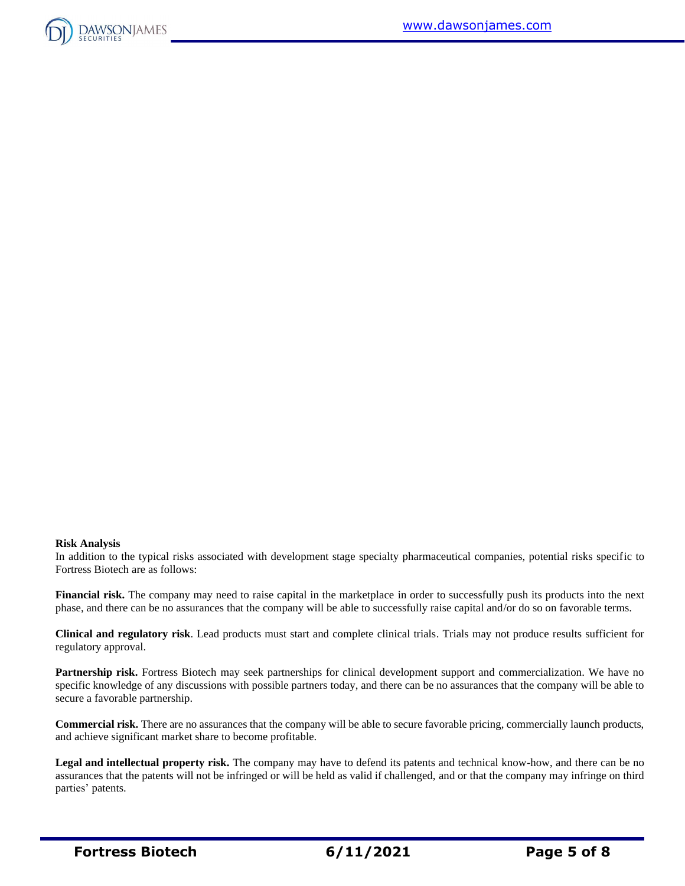

#### **Risk Analysis**

In addition to the typical risks associated with development stage specialty pharmaceutical companies, potential risks specific to Fortress Biotech are as follows:

**Financial risk.** The company may need to raise capital in the marketplace in order to successfully push its products into the next phase, and there can be no assurances that the company will be able to successfully raise capital and/or do so on favorable terms.

**Clinical and regulatory risk**. Lead products must start and complete clinical trials. Trials may not produce results sufficient for regulatory approval.

**Partnership risk.** Fortress Biotech may seek partnerships for clinical development support and commercialization. We have no specific knowledge of any discussions with possible partners today, and there can be no assurances that the company will be able to secure a favorable partnership.

**Commercial risk.** There are no assurances that the company will be able to secure favorable pricing, commercially launch products, and achieve significant market share to become profitable.

**Legal and intellectual property risk.** The company may have to defend its patents and technical know-how, and there can be no assurances that the patents will not be infringed or will be held as valid if challenged, and or that the company may infringe on third parties' patents.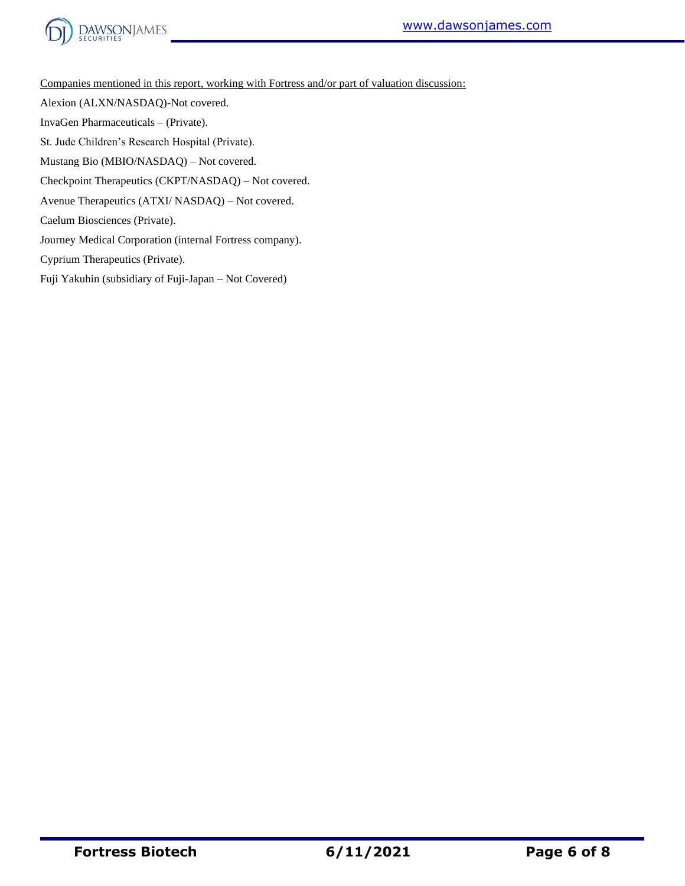



Companies mentioned in this report, working with Fortress and/or part of valuation discussion:

Alexion (ALXN/NASDAQ)-Not covered.

InvaGen Pharmaceuticals – (Private).

St. Jude Children's Research Hospital (Private).

Mustang Bio (MBIO/NASDAQ) – Not covered.

Checkpoint Therapeutics (CKPT/NASDAQ) – Not covered.

Avenue Therapeutics (ATXI/ NASDAQ) – Not covered.

Caelum Biosciences (Private).

Journey Medical Corporation (internal Fortress company).

Cyprium Therapeutics (Private).

Fuji Yakuhin (subsidiary of Fuji-Japan – Not Covered)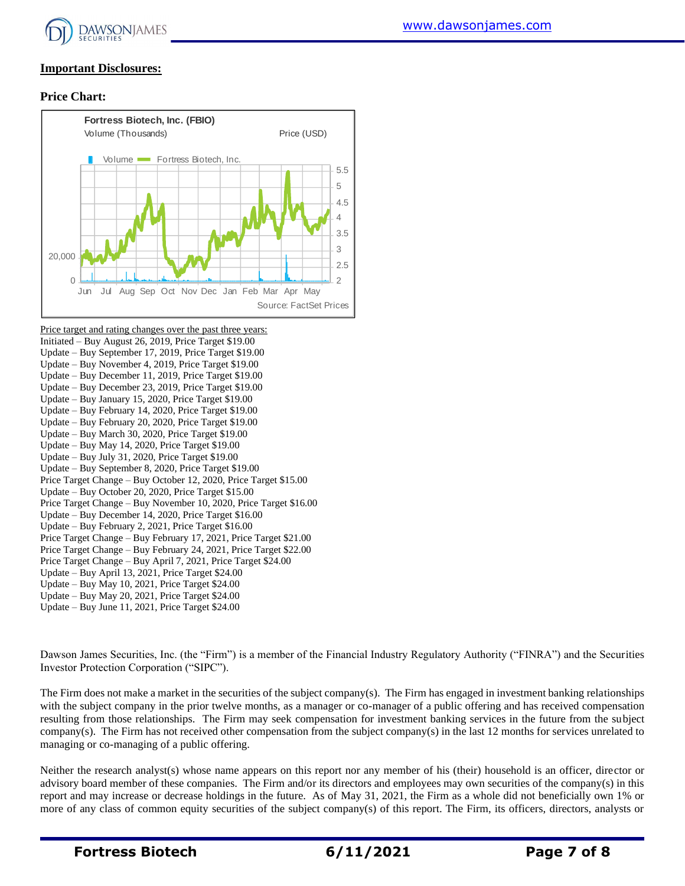

## **Important Disclosures:**

### **Price Chart:**



Price target and rating changes over the past three years: Initiated – Buy August 26, 2019, Price Target \$19.00 Update – Buy September 17, 2019, Price Target \$19.00 Update – Buy November 4, 2019, Price Target \$19.00 Update – Buy December 11, 2019, Price Target \$19.00 Update – Buy December 23, 2019, Price Target \$19.00 Update – Buy January 15, 2020, Price Target \$19.00 Update – Buy February 14, 2020, Price Target \$19.00 Update – Buy February 20, 2020, Price Target \$19.00 Update – Buy March 30, 2020, Price Target \$19.00 Update – Buy May 14, 2020, Price Target \$19.00 Update – Buy July 31, 2020, Price Target \$19.00 Update – Buy September 8, 2020, Price Target \$19.00 Price Target Change – Buy October 12, 2020, Price Target \$15.00 Update – Buy October 20, 2020, Price Target \$15.00 Price Target Change – Buy November 10, 2020, Price Target \$16.00 Update – Buy December 14, 2020, Price Target \$16.00 Update – Buy February 2, 2021, Price Target \$16.00 Price Target Change – Buy February 17, 2021, Price Target \$21.00 Price Target Change – Buy February 24, 2021, Price Target \$22.00 Price Target Change – Buy April 7, 2021, Price Target \$24.00 Update – Buy April 13, 2021, Price Target \$24.00 Update – Buy May 10, 2021, Price Target \$24.00 Update – Buy May 20, 2021, Price Target \$24.00 Update – Buy June 11, 2021, Price Target \$24.00

Dawson James Securities, Inc. (the "Firm") is a member of the Financial Industry Regulatory Authority ("FINRA") and the Securities Investor Protection Corporation ("SIPC").

The Firm does not make a market in the securities of the subject company(s). The Firm has engaged in investment banking relationships with the subject company in the prior twelve months, as a manager or co-manager of a public offering and has received compensation resulting from those relationships. The Firm may seek compensation for investment banking services in the future from the subject company(s). The Firm has not received other compensation from the subject company(s) in the last 12 months for services unrelated to managing or co-managing of a public offering.

Neither the research analyst(s) whose name appears on this report nor any member of his (their) household is an officer, director or advisory board member of these companies. The Firm and/or its directors and employees may own securities of the company(s) in this report and may increase or decrease holdings in the future. As of May 31, 2021, the Firm as a whole did not beneficially own 1% or more of any class of common equity securities of the subject company(s) of this report. The Firm, its officers, directors, analysts or